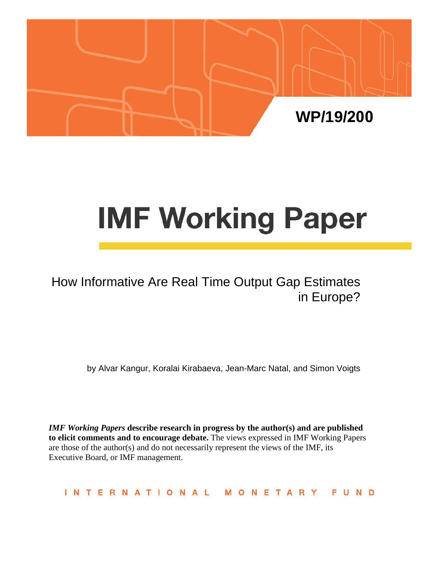

# **IMF Working Paper**

## How Informative Are Real Time Output Gap Estimates in Europe?

by Alvar Kangur, Koralai Kirabaeva, Jean-Marc Natal, and Simon Voigts

*IMF Working Papers* **describe research in progress by the author(s) and are published to elicit comments and to encourage debate.** The views expressed in IMF Working Papers are those of the author(s) and do not necessarily represent the views of the IMF, its Executive Board, or IMF management.

INTERNATIONAL MONETARY FUND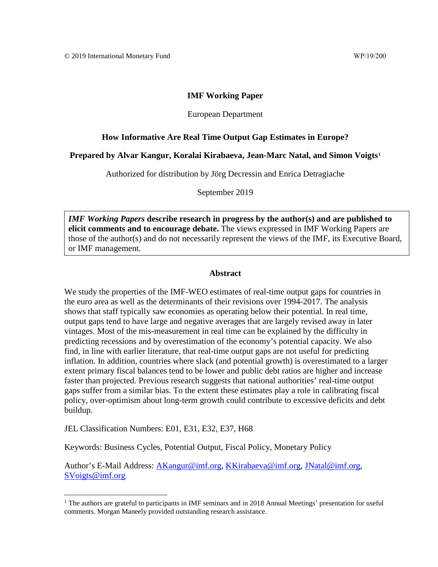## **IMF Working Paper**

## European Department

## **How Informative Are Real Time Output Gap Estimates in Europe?**

## **Prepared by Alvar Kangur, Koralai Kirabaeva, Jean-Marc Natal, and Simon Voigts[1](#page-1-0)**

Authorized for distribution by Jörg Decressin and Enrica Detragiache

September 2019

*IMF Working Papers* **describe research in progress by the author(s) and are published to elicit comments and to encourage debate.** The views expressed in IMF Working Papers are those of the author(s) and do not necessarily represent the views of the IMF, its Executive Board, or IMF management.

## **Abstract**

We study the properties of the IMF-WEO estimates of real-time output gaps for countries in the euro area as well as the determinants of their revisions over 1994-2017. The analysis shows that staff typically saw economies as operating below their potential. In real time, output gaps tend to have large and negative averages that are largely revised away in later vintages. Most of the mis-measurement in real time can be explained by the difficulty in predicting recessions and by overestimation of the economy's potential capacity. We also find, in line with earlier literature, that real-time output gaps are not useful for predicting inflation. In addition, countries where slack (and potential growth) is overestimated to a larger extent primary fiscal balances tend to be lower and public debt ratios are higher and increase faster than projected. Previous research suggests that national authorities' real-time output gaps suffer from a similar bias. To the extent these estimates play a role in calibrating fiscal policy, over-optimism about long-term growth could contribute to excessive deficits and debt buildup.

JEL Classification Numbers: E01, E31, E32, E37, H68

Keywords: Business Cycles, Potential Output, Fiscal Policy, Monetary Policy

Author's E-Mail Address: [AKangur@imf.org,](mailto:AKangur@imf.org) [KKirabaeva@imf.org,](mailto:KKirabaeva@imf.org) [JNatal@imf.org,](mailto:JNatal@imf.org) [SVoigts@imf.org](mailto:SVoigts@imf.org)

<span id="page-1-0"></span><sup>&</sup>lt;sup>1</sup> The authors are grateful to participants in IMF seminars and in 2018 Annual Meetings' presentation for useful comments. Morgan Maneely provided outstanding research assistance.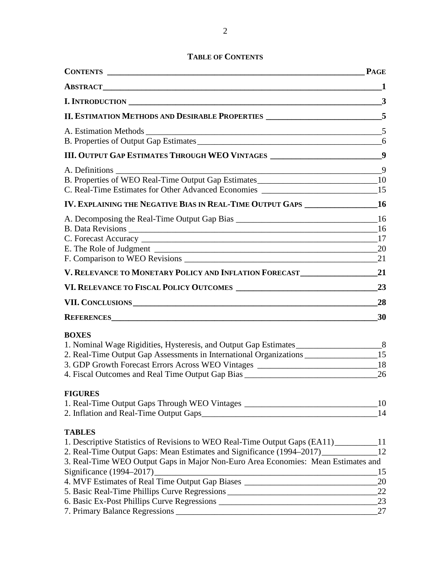## **TABLE OF CONTENTS**

|                                                                                                              | $\overline{3}$        |
|--------------------------------------------------------------------------------------------------------------|-----------------------|
| II. ESTIMATION METHODS AND DESIRABLE PROPERTIES ________________________5                                    |                       |
|                                                                                                              |                       |
|                                                                                                              | 6                     |
| III. OUTPUT GAP ESTIMATES THROUGH WEO VINTAGES ________________________________9                             |                       |
| $\overline{\phantom{a}9}$<br>A. Definitions                                                                  |                       |
| B. Properties of WEO Real-Time Output Gap Estimates______________________________10                          |                       |
| C. Real-Time Estimates for Other Advanced Economies _____________________________15                          |                       |
| IV. EXPLAINING THE NEGATIVE BIAS IN REAL-TIME OUTPUT GAPS _______________________ 16                         |                       |
|                                                                                                              |                       |
|                                                                                                              |                       |
|                                                                                                              |                       |
|                                                                                                              |                       |
| V. RELEVANCE TO MONETARY POLICY AND INFLATION FORECAST 21                                                    |                       |
|                                                                                                              |                       |
|                                                                                                              |                       |
|                                                                                                              | 30                    |
| <b>BOXES</b>                                                                                                 |                       |
| 1. Nominal Wage Rigidities, Hysteresis, and Output Gap Estimates                                             |                       |
| 2. Real-Time Output Gap Assessments in International Organizations _____________________15                   |                       |
| 3. GDP Growth Forecast Errors Across WEO Vintages _______________________________18                          |                       |
|                                                                                                              |                       |
| <b>FIGURES</b>                                                                                               |                       |
| 1. Real-Time Output Gaps Through WEO Vintages ___________________________________10                          |                       |
| 2. Inflation and Real-Time Output Gaps                                                                       | 14                    |
| <b>TABLES</b>                                                                                                |                       |
| 1. Descriptive Statistics of Revisions to WEO Real-Time Output Gaps (EA11) __________11                      |                       |
| 2. Real-Time Output Gaps: Mean Estimates and Significance (1994–2017)___________                             | 12                    |
| 3. Real-Time WEO Output Gaps in Major Non-Euro Area Economies: Mean Estimates and                            |                       |
| Significance (1994–2017)<br>4. MVF Estimates of Real Time Output Gap Biases ________________________________ | 15<br>$\overline{20}$ |
|                                                                                                              |                       |
|                                                                                                              |                       |
|                                                                                                              | 27                    |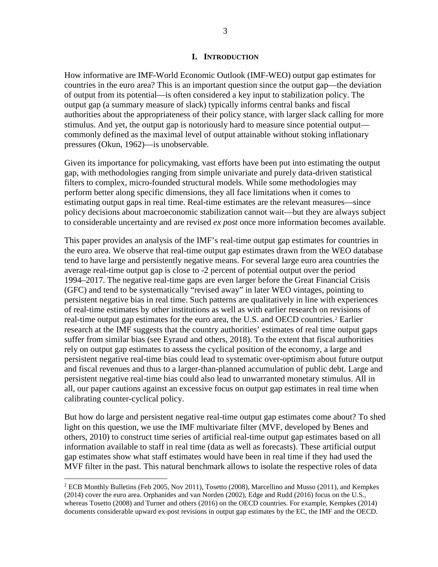## **I. INTRODUCTION**

How informative are IMF-World Economic Outlook (IMF-WEO) output gap estimates for countries in the euro area? This is an important question since the output gap—the deviation of output from its potential—is often considered a key input to stabilization policy. The output gap (a summary measure of slack) typically informs central banks and fiscal authorities about the appropriateness of their policy stance, with larger slack calling for more stimulus. And yet, the output gap is notoriously hard to measure since potential output commonly defined as the maximal level of output attainable without stoking inflationary pressures (Okun, 1962)—is unobservable.

Given its importance for policymaking, vast efforts have been put into estimating the output gap, with methodologies ranging from simple univariate and purely data-driven statistical filters to complex, micro-founded structural models. While some methodologies may perform better along specific dimensions, they all face limitations when it comes to estimating output gaps in real time. Real-time estimates are the relevant measures—since policy decisions about macroeconomic stabilization cannot wait—but they are always subject to considerable uncertainty and are revised *ex post* once more information becomes available.

This paper provides an analysis of the IMF's real-time output gap estimates for countries in the euro area. We observe that real-time output gap estimates drawn from the WEO database tend to have large and persistently negative means. For several large euro area countries the average real-time output gap is close to -2 percent of potential output over the period 1994–2017. The negative real-time gaps are even larger before the Great Financial Crisis (GFC) and tend to be systematically "revised away" in later WEO vintages, pointing to persistent negative bias in real time. Such patterns are qualitatively in line with experiences of real-time estimates by other institutions as well as with earlier research on revisions of real-time output gap estimates for the euro area, the U.S. and OECD countries.[2](#page-3-0) Earlier research at the IMF suggests that the country authorities' estimates of real time output gaps suffer from similar bias (see Eyraud and others, 2018). To the extent that fiscal authorities rely on output gap estimates to assess the cyclical position of the economy, a large and persistent negative real-time bias could lead to systematic over-optimism about future output and fiscal revenues and thus to a larger-than-planned accumulation of public debt. Large and persistent negative real-time bias could also lead to unwarranted monetary stimulus. All in all, our paper cautions against an excessive focus on output gap estimates in real time when calibrating counter-cyclical policy.

But how do large and persistent negative real-time output gap estimates come about? To shed light on this question, we use the IMF multivariate filter (MVF, developed by Benes and others, 2010) to construct time series of artificial real-time output gap estimates based on all information available to staff in real time (data as well as forecasts). These artificial output gap estimates show what staff estimates would have been in real time if they had used the MVF filter in the past. This natural benchmark allows to isolate the respective roles of data

<span id="page-3-0"></span> $2$  ECB Monthly Bulletins (Feb 2005, Nov 2011), Tosetto (2008), Marcellino and Musso (2011), and Kempkes (2014) cover the euro area. Orphanides and van Norden (2002), Edge and Rudd (2016) focus on the U.S., whereas Tosetto (2008) and Turner and others (2016) on the OECD countries. For example, Kempkes (2014) documents considerable upward ex-post revisions in output gap estimates by the EC, the IMF and the OECD.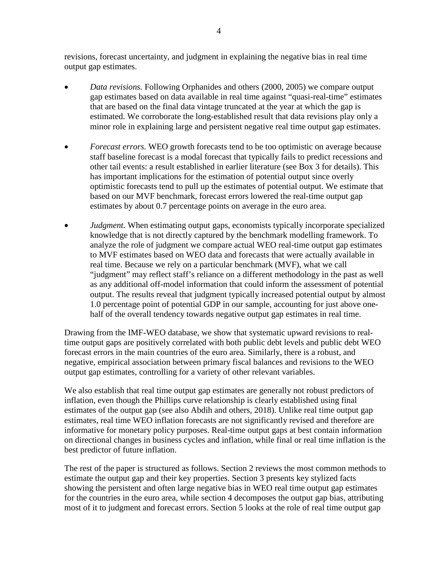revisions, forecast uncertainty, and judgment in explaining the negative bias in real time output gap estimates.

- *Data revisions.* Following Orphanides and others (2000, 2005) we compare output gap estimates based on data available in real time against "quasi-real-time" estimates that are based on the final data vintage truncated at the year at which the gap is estimated. We corroborate the long-established result that data revisions play only a minor role in explaining large and persistent negative real time output gap estimates.
- *Forecast errors.* WEO growth forecasts tend to be too optimistic on average because staff baseline forecast is a modal forecast that typically fails to predict recessions and other tail events: a result established in earlier literature (see Box 3 for details). This has important implications for the estimation of potential output since overly optimistic forecasts tend to pull up the estimates of potential output. We estimate that based on our MVF benchmark, forecast errors lowered the real-time output gap estimates by about 0.7 percentage points on average in the euro area.
- *Judgment*. When estimating output gaps, economists typically incorporate specialized knowledge that is not directly captured by the benchmark modelling framework. To analyze the role of judgment we compare actual WEO real-time output gap estimates to MVF estimates based on WEO data and forecasts that were actually available in real time. Because we rely on a particular benchmark (MVF), what we call "judgment" may reflect staff's reliance on a different methodology in the past as well as any additional off-model information that could inform the assessment of potential output. The results reveal that judgment typically increased potential output by almost 1.0 percentage point of potential GDP in our sample, accounting for just above onehalf of the overall tendency towards negative output gap estimates in real time.

Drawing from the IMF-WEO database, we show that systematic upward revisions to realtime output gaps are positively correlated with both public debt levels and public debt WEO forecast errors in the main countries of the euro area. Similarly, there is a robust, and negative, empirical association between primary fiscal balances and revisions to the WEO output gap estimates, controlling for a variety of other relevant variables.

We also establish that real time output gap estimates are generally not robust predictors of inflation, even though the Phillips curve relationship is clearly established using final estimates of the output gap (see also Abdih and others, 2018). Unlike real time output gap estimates, real time WEO inflation forecasts are not significantly revised and therefore are informative for monetary policy purposes. Real-time output gaps at best contain information on directional changes in business cycles and inflation, while final or real time inflation is the best predictor of future inflation.

The rest of the paper is structured as follows. Section 2 reviews the most common methods to estimate the output gap and their key properties. Section 3 presents key stylized facts showing the persistent and often large negative bias in WEO real time output gap estimates for the countries in the euro area, while section 4 decomposes the output gap bias, attributing most of it to judgment and forecast errors. Section 5 looks at the role of real time output gap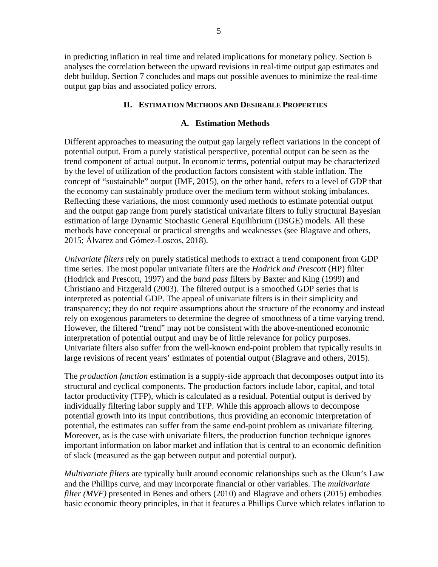in predicting inflation in real time and related implications for monetary policy. Section 6 analyses the correlation between the upward revisions in real-time output gap estimates and debt buildup. Section 7 concludes and maps out possible avenues to minimize the real-time output gap bias and associated policy errors.

## **II. ESTIMATION METHODS AND DESIRABLE PROPERTIES**

## **A. Estimation Methods**

Different approaches to measuring the output gap largely reflect variations in the concept of potential output. From a purely statistical perspective, potential output can be seen as the trend component of actual output. In economic terms, potential output may be characterized by the level of utilization of the production factors consistent with stable inflation. The concept of "sustainable" output (IMF, 2015), on the other hand, refers to a level of GDP that the economy can sustainably produce over the medium term without stoking imbalances. Reflecting these variations, the most commonly used methods to estimate potential output and the output gap range from purely statistical univariate filters to fully structural Bayesian estimation of large Dynamic Stochastic General Equilibrium (DSGE) models. All these methods have conceptual or practical strengths and weaknesses (see Blagrave and others, 2015; Álvarez and Gómez-Loscos, 2018).

*Univariate filters* rely on purely statistical methods to extract a trend component from GDP time series. The most popular univariate filters are the *Hodrick and Prescott* (HP) filter (Hodrick and Prescott, 1997) and the *band pass* filters by Baxter and King (1999) and Christiano and Fitzgerald (2003). The filtered output is a smoothed GDP series that is interpreted as potential GDP. The appeal of univariate filters is in their simplicity and transparency; they do not require assumptions about the structure of the economy and instead rely on exogenous parameters to determine the degree of smoothness of a time varying trend. However, the filtered "trend" may not be consistent with the above-mentioned economic interpretation of potential output and may be of little relevance for policy purposes. Univariate filters also suffer from the well-known end-point problem that typically results in large revisions of recent years' estimates of potential output (Blagrave and others, 2015).

The *production function* estimation is a supply-side approach that decomposes output into its structural and cyclical components. The production factors include labor, capital, and total factor productivity (TFP), which is calculated as a residual. Potential output is derived by individually filtering labor supply and TFP. While this approach allows to decompose potential growth into its input contributions, thus providing an economic interpretation of potential, the estimates can suffer from the same end-point problem as univariate filtering. Moreover, as is the case with univariate filters, the production function technique ignores important information on labor market and inflation that is central to an economic definition of slack (measured as the gap between output and potential output).

*Multivariate filters* are typically built around economic relationships such as the Okun's Law and the Phillips curve, and may incorporate financial or other variables. The *multivariate filter (MVF)* presented in Benes and others (2010) and Blagrave and others (2015) embodies basic economic theory principles, in that it features a Phillips Curve which relates inflation to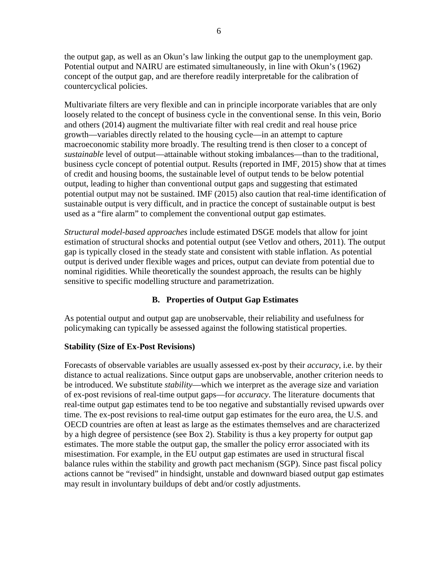the output gap, as well as an Okun's law linking the output gap to the unemployment gap. Potential output and NAIRU are estimated simultaneously, in line with Okun's (1962) concept of the output gap, and are therefore readily interpretable for the calibration of countercyclical policies.

Multivariate filters are very flexible and can in principle incorporate variables that are only loosely related to the concept of business cycle in the conventional sense. In this vein, Borio and others (2014) augment the multivariate filter with real credit and real house price growth—variables directly related to the housing cycle—in an attempt to capture macroeconomic stability more broadly. The resulting trend is then closer to a concept of *sustainable* level of output—attainable without stoking imbalances—than to the traditional, business cycle concept of potential output. Results (reported in IMF, 2015) show that at times of credit and housing booms, the sustainable level of output tends to be below potential output, leading to higher than conventional output gaps and suggesting that estimated potential output may not be sustained. IMF (2015) also caution that real-time identification of sustainable output is very difficult, and in practice the concept of sustainable output is best used as a "fire alarm" to complement the conventional output gap estimates.

*Structural model-based approaches* include estimated DSGE models that allow for joint estimation of structural shocks and potential output (see Vetlov and others, 2011). The output gap is typically closed in the steady state and consistent with stable inflation. As potential output is derived under flexible wages and prices, output can deviate from potential due to nominal rigidities. While theoretically the soundest approach, the results can be highly sensitive to specific modelling structure and parametrization.

## **B. Properties of Output Gap Estimates**

As potential output and output gap are unobservable, their reliability and usefulness for policymaking can typically be assessed against the following statistical properties.

## **Stability (Size of Ex-Post Revisions)**

Forecasts of observable variables are usually assessed ex-post by their *accuracy*, i.e. by their distance to actual realizations. Since output gaps are unobservable, another criterion needs to be introduced. We substitute *stability*—which we interpret as the average size and variation of ex-post revisions of real-time output gaps—for *accuracy*. The literature, documents that real-time output gap estimates tend to be too negative and substantially revised upwards over time. The ex-post revisions to real-time output gap estimates for the euro area, the U.S. and OECD countries are often at least as large as the estimates themselves and are characterized by a high degree of persistence (see Box 2). Stability is thus a key property for output gap estimates. The more stable the output gap, the smaller the policy error associated with its misestimation. For example, in the EU output gap estimates are used in structural fiscal balance rules within the stability and growth pact mechanism (SGP). Since past fiscal policy actions cannot be "revised" in hindsight, unstable and downward biased output gap estimates may result in involuntary buildups of debt and/or costly adjustments.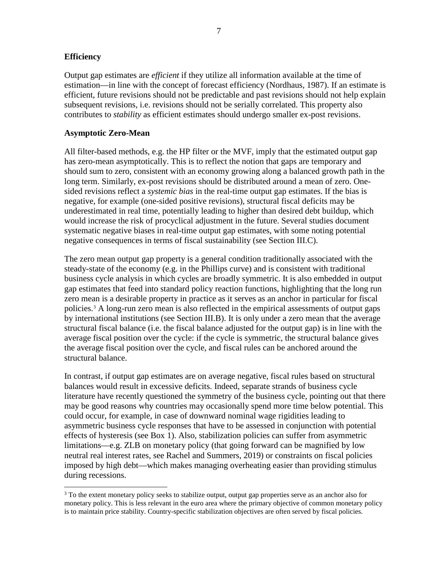## **Efficiency**

Output gap estimates are *efficient* if they utilize all information available at the time of estimation—in line with the concept of forecast efficiency (Nordhaus, 1987). If an estimate is efficient, future revisions should not be predictable and past revisions should not help explain subsequent revisions, i.e. revisions should not be serially correlated. This property also contributes to *stability* as efficient estimates should undergo smaller ex-post revisions.

## **Asymptotic Zero-Mean**

All filter-based methods, e.g. the HP filter or the MVF, imply that the estimated output gap has zero-mean asymptotically. This is to reflect the notion that gaps are temporary and should sum to zero, consistent with an economy growing along a balanced growth path in the long term. Similarly, ex-post revisions should be distributed around a mean of zero. Onesided revisions reflect a *systemic bias* in the real-time output gap estimates. If the bias is negative, for example (one-sided positive revisions), structural fiscal deficits may be underestimated in real time, potentially leading to higher than desired debt buildup, which would increase the risk of procyclical adjustment in the future. Several studies document systematic negative biases in real-time output gap estimates, with some noting potential negative consequences in terms of fiscal sustainability (see Section III.C).

The zero mean output gap property is a general condition traditionally associated with the steady-state of the economy (e.g. in the Phillips curve) and is consistent with traditional business cycle analysis in which cycles are broadly symmetric. It is also embedded in output gap estimates that feed into standard policy reaction functions, highlighting that the long run zero mean is a desirable property in practice as it serves as an anchor in particular for fiscal policies.[3](#page-7-0) A long-run zero mean is also reflected in the empirical assessments of output gaps by international institutions (see Section III.B). It is only under a zero mean that the average structural fiscal balance (i.e. the fiscal balance adjusted for the output gap) is in line with the average fiscal position over the cycle: if the cycle is symmetric, the structural balance gives the average fiscal position over the cycle, and fiscal rules can be anchored around the structural balance.

In contrast, if output gap estimates are on average negative, fiscal rules based on structural balances would result in excessive deficits. Indeed, separate strands of business cycle literature have recently questioned the symmetry of the business cycle, pointing out that there may be good reasons why countries may occasionally spend more time below potential. This could occur, for example, in case of downward nominal wage rigidities leading to asymmetric business cycle responses that have to be assessed in conjunction with potential effects of hysteresis (see Box 1). Also, stabilization policies can suffer from asymmetric limitations—e.g. ZLB on monetary policy (that going forward can be magnified by low neutral real interest rates, see Rachel and Summers, 2019) or constraints on fiscal policies imposed by high debt—which makes managing overheating easier than providing stimulus during recessions.

<span id="page-7-0"></span> $3$  To the extent monetary policy seeks to stabilize output, output gap properties serve as an anchor also for monetary policy. This is less relevant in the euro area where the primary objective of common monetary policy is to maintain price stability. Country-specific stabilization objectives are often served by fiscal policies.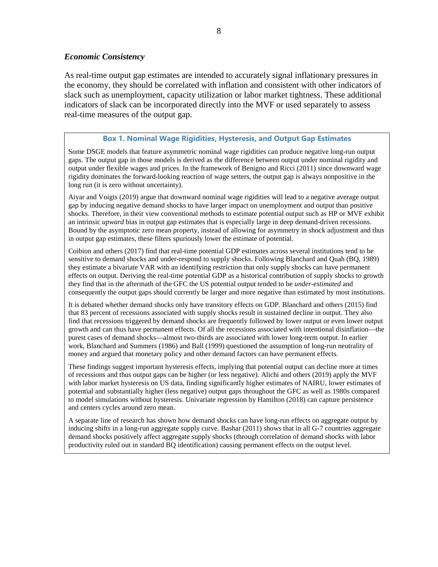## *Economic Consistency*

As real-time output gap estimates are intended to accurately signal inflationary pressures in the economy, they should be correlated with inflation and consistent with other indicators of slack such as unemployment, capacity utilization or labor market tightness. These additional indicators of slack can be incorporated directly into the MVF or used separately to assess real-time measures of the output gap.

## **Box 1. Nominal Wage Rigidities, Hysteresis, and Output Gap Estimates**

Some DSGE models that feature asymmetric nominal wage rigidities can produce negative long-run output gaps. The output gap in those models is derived as the difference between output under nominal rigidity and output under flexible wages and prices. In the framework of Benigno and Ricci (2011) since downward wage rigidity dominates the forward-looking reaction of wage setters, the output gap is always nonpositive in the long run (it is zero without uncertainty).

Aiyar and Voigts (2019) argue that downward nominal wage rigidities will lead to a negative average output gap by inducing negative demand shocks to have larger impact on unemployment and output than positive shocks. Therefore, in their view conventional methods to estimate potential output such as HP or MVF exhibit an intrinsic *upward* bias in output gap estimates that is especially large in deep demand-driven recessions. Bound by the asymptotic zero mean property, instead of allowing for asymmetry in shock adjustment and thus in output gap estimates, these filters spuriously lower the estimate of potential.

Coibion and others (2017) find that real-time potential GDP estimates across several institutions tend to be sensitive to demand shocks and under-respond to supply shocks. Following Blanchard and Quah (BQ, 1989) they estimate a bivariate VAR with an identifying restriction that only supply shocks can have permanent effects on output. Deriving the real-time potential GDP as a historical contribution of supply shocks to growth they find that in the aftermath of the GFC the US potential output tended to be *under-estimated* and consequently the output gaps should currently be larger and more negative than estimated by most institutions.

It is debated whether demand shocks only have transitory effects on GDP. Blanchard and others (2015) find that 83 percent of recessions associated with supply shocks result in sustained decline in output. They also find that recessions triggered by demand shocks are frequently followed by lower output or even lower output growth and can thus have permanent effects. Of all the recessions associated with intentional disinflation—the purest cases of demand shocks—almost two-thirds are associated with lower long-term output. In earlier work, Blanchard and Summers (1986) and Ball (1999) questioned the assumption of long-run neutrality of money and argued that monetary policy and other demand factors can have permanent effects.

These findings suggest important hysteresis effects, implying that potential output can decline more at times of recessions and thus output gaps can be higher (or less negative). Alichi and others (2019) apply the MVF with labor market hysteresis on US data, finding significantly higher estimates of NAIRU, lower estimates of potential and substantially higher (less negative) output gaps throughout the GFC as well as 1980s compared to model simulations without hysteresis. Univariate regression by Hamilton (2018) can capture persistence and centers cycles around zero mean.

A separate line of research has shown how demand shocks can have long-run effects on aggregate output by inducing shifts in a long-run aggregate supply curve. Bashar (2011) shows that in all G-7 countries aggregate demand shocks positively affect aggregate supply shocks (through correlation of demand shocks with labor productivity ruled out in standard BQ identification) causing permanent effects on the output level.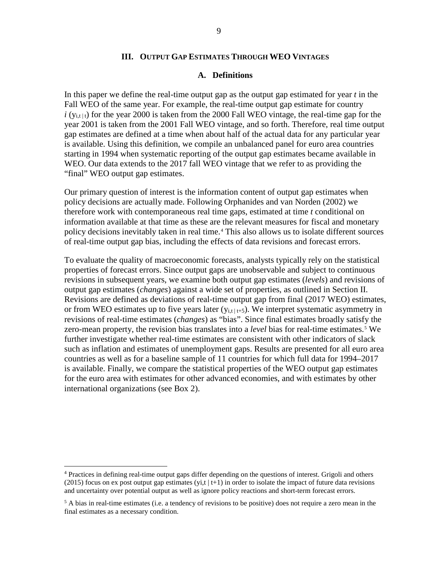## **III. OUTPUT GAP ESTIMATES THROUGH WEO VINTAGES**

## **A. Definitions**

In this paper we define the real-time output gap as the output gap estimated for year *t* in the Fall WEO of the same year. For example, the real-time output gap estimate for country  $i(y_{i,t|t})$  for the year 2000 is taken from the 2000 Fall WEO vintage, the real-time gap for the year 2001 is taken from the 2001 Fall WEO vintage, and so forth. Therefore, real time output gap estimates are defined at a time when about half of the actual data for any particular year is available. Using this definition, we compile an unbalanced panel for euro area countries starting in 1994 when systematic reporting of the output gap estimates became available in WEO. Our data extends to the 2017 fall WEO vintage that we refer to as providing the "final" WEO output gap estimates.

Our primary question of interest is the information content of output gap estimates when policy decisions are actually made. Following Orphanides and van Norden (2002) we therefore work with contemporaneous real time gaps, estimated at time *t* conditional on information available at that time as these are the relevant measures for fiscal and monetary policy decisions inevitably taken in real time.[4](#page-9-0) This also allows us to isolate different sources of real-time output gap bias, including the effects of data revisions and forecast errors.

To evaluate the quality of macroeconomic forecasts, analysts typically rely on the statistical properties of forecast errors. Since output gaps are unobservable and subject to continuous revisions in subsequent years, we examine both output gap estimates (*levels*) and revisions of output gap estimates (*changes*) against a wide set of properties, as outlined in Section II. Revisions are defined as deviations of real-time output gap from final (2017 WEO) estimates, or from WEO estimates up to five years later  $(y_{i,t|t+5})$ . We interpret systematic asymmetry in revisions of real-time estimates (*changes*) as "bias". Since final estimates broadly satisfy the zero-mean property, the revision bias translates into a *level* bias for real-time estimates.<sup>[5](#page-9-1)</sup> We further investigate whether real-time estimates are consistent with other indicators of slack such as inflation and estimates of unemployment gaps. Results are presented for all euro area countries as well as for a baseline sample of 11 countries for which full data for 1994–2017 is available. Finally, we compare the statistical properties of the WEO output gap estimates for the euro area with estimates for other advanced economies, and with estimates by other international organizations (see Box 2).

<span id="page-9-0"></span> <sup>4</sup> Practices in defining real-time output gaps differ depending on the questions of interest. Grigoli and others (2015) focus on ex post output gap estimates (yi,t  $|t+1\rangle$  in order to isolate the impact of future data revisions and uncertainty over potential output as well as ignore policy reactions and short-term forecast errors.

<span id="page-9-1"></span><sup>&</sup>lt;sup>5</sup> A bias in real-time estimates (i.e. a tendency of revisions to be positive) does not require a zero mean in the final estimates as a necessary condition.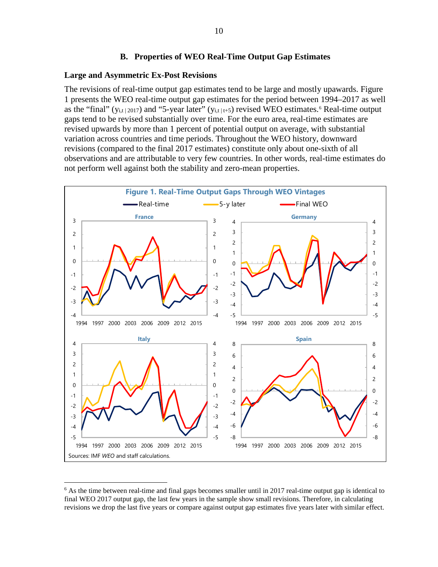## **B. Properties of WEO Real-Time Output Gap Estimates**

#### **Large and Asymmetric Ex-Post Revisions**

The revisions of real-time output gap estimates tend to be large and mostly upawards. Figure 1 presents the WEO real-time output gap estimates for the period between 1994–2017 as well as the "final" ( $y_{i,t|2017}$ ) and "5-year later" ( $y_{i,t|t+5}$ ) revised WEO estimates.<sup>[6](#page-10-0)</sup> Real-time output gaps tend to be revised substantially over time. For the euro area, real-time estimates are revised upwards by more than 1 percent of potential output on average, with substantial variation across countries and time periods. Throughout the WEO history, downward revisions (compared to the final 2017 estimates) constitute only about one-sixth of all observations and are attributable to very few countries. In other words, real-time estimates do not perform well against both the stability and zero-mean properties.



<span id="page-10-0"></span><sup>&</sup>lt;sup>6</sup> As the time between real-time and final gaps becomes smaller until in 2017 real-time output gap is identical to final WEO 2017 output gap, the last few years in the sample show small revisions. Therefore, in calculating revisions we drop the last five years or compare against output gap estimates five years later with similar effect.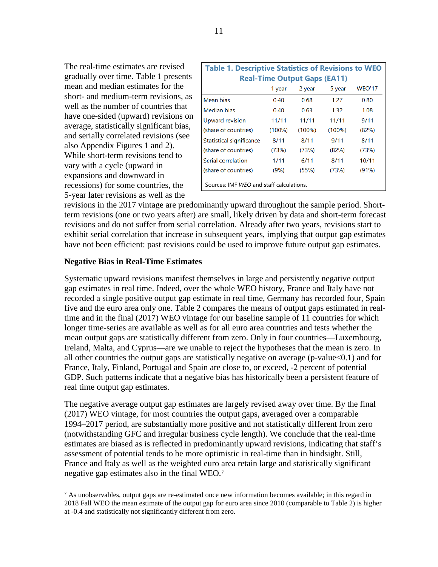The real-time estimates are revised gradually over time. Table 1 presents mean and median estimates for the short- and medium-term revisions, as well as the number of countries that have one-sided (upward) revisions on average, statistically significant bias, and serially correlated revisions (see also Appendix Figures 1 and 2). While short-term revisions tend to vary with a cycle (upward in expansions and downward in recessions) for some countries, the 5-year later revisions as well as the

|                                 | <b>Table 1. Descriptive Statistics of Revisions to WEO</b> |                                     |           |               |  |  |  |  |
|---------------------------------|------------------------------------------------------------|-------------------------------------|-----------|---------------|--|--|--|--|
|                                 |                                                            | <b>Real-Time Output Gaps (EA11)</b> |           |               |  |  |  |  |
|                                 | 1 year                                                     | 2 year                              | 5 year    | <b>WEO'17</b> |  |  |  |  |
| Mean bias                       | 0.40                                                       | 0.68                                | 1.27      | 0.80          |  |  |  |  |
| Median bias                     | 0.40                                                       | 0.63                                | 1.32      | 1.08          |  |  |  |  |
| Upward revision                 | 11/11                                                      | 11/11                               | 11/11     | 9/11          |  |  |  |  |
| (share of countries)            | $(100\%)$                                                  | $(100\%)$                           | $(100\%)$ | (82%)         |  |  |  |  |
| <b>Statistical significance</b> | 8/11                                                       | 8/11                                | 9/11      | 8/11          |  |  |  |  |
| (share of countries)            | (73%)                                                      | (73%)                               | (82%)     | (73%)         |  |  |  |  |
| Serial correlation              | 1/11                                                       | 6/11                                | 8/11      | 10/11         |  |  |  |  |
| (share of countries)            | (9%)                                                       | (55%)                               | (73%)     | (91%)         |  |  |  |  |
|                                 | Sources: IMF WEO and staff calculations.                   |                                     |           |               |  |  |  |  |

revisions in the 2017 vintage are predominantly upward throughout the sample period. Shortterm revisions (one or two years after) are small, likely driven by data and short-term forecast revisions and do not suffer from serial correlation. Already after two years, revisions start to exhibit serial correlation that increase in subsequent years, implying that output gap estimates have not been efficient: past revisions could be used to improve future output gap estimates.

## **Negative Bias in Real-Time Estimates**

Systematic upward revisions manifest themselves in large and persistently negative output gap estimates in real time. Indeed, over the whole WEO history, France and Italy have not recorded a single positive output gap estimate in real time, Germany has recorded four, Spain five and the euro area only one. Table 2 compares the means of output gaps estimated in realtime and in the final (2017) WEO vintage for our baseline sample of 11 countries for which longer time-series are available as well as for all euro area countries and tests whether the mean output gaps are statistically different from zero. Only in four countries—Luxembourg, Ireland, Malta, and Cyprus—are we unable to reject the hypotheses that the mean is zero. In all other countries the output gaps are statistically negative on average (p-value<0.1) and for France, Italy, Finland, Portugal and Spain are close to, or exceed, -2 percent of potential GDP. Such patterns indicate that a negative bias has historically been a persistent feature of real time output gap estimates.

The negative average output gap estimates are largely revised away over time. By the final (2017) WEO vintage, for most countries the output gaps, averaged over a comparable 1994–2017 period, are substantially more positive and not statistically different from zero (notwithstanding GFC and irregular business cycle length). We conclude that the real-time estimates are biased as is reflected in predominantly upward revisions, indicating that staff's assessment of potential tends to be more optimistic in real-time than in hindsight. Still, France and Italy as well as the weighted euro area retain large and statistically significant negative gap estimates also in the final WEO. [7](#page-11-0)

<span id="page-11-0"></span> $^7$  As unobservables, output gaps are re-estimated once new information becomes available; in this regard in 2018 Fall WEO the mean estimate of the output gap for euro area since 2010 (comparable to Table 2) is higher at -0.4 and statistically not significantly different from zero.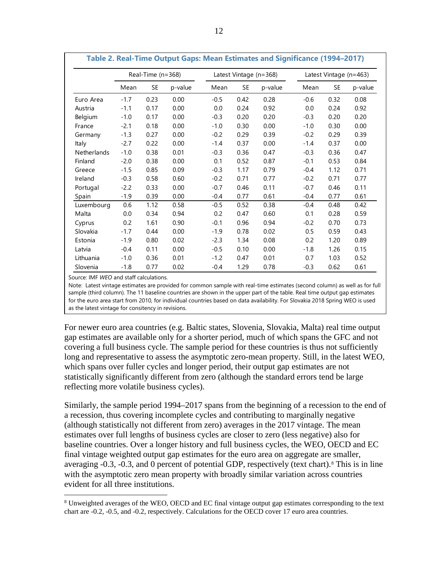|             |        | Real-Time (n=368) |         |        |      | Latest Vintage (n=368) | Latest Vintage (n=463) |      |         |  |
|-------------|--------|-------------------|---------|--------|------|------------------------|------------------------|------|---------|--|
|             | Mean   | <b>SE</b>         | p-value | Mean   | SE   | p-value                | Mean                   | SE   | p-value |  |
| Euro Area   | $-1.7$ | 0.23              | 0.00    | $-0.5$ | 0.42 | 0.28                   | $-0.6$                 | 0.32 | 0.08    |  |
| Austria     | $-1.1$ | 0.17              | 0.00    | 0.0    | 0.24 | 0.92                   | 0.0                    | 0.24 | 0.92    |  |
| Belgium     | $-1.0$ | 0.17              | 0.00    | $-0.3$ | 0.20 | 0.20                   | $-0.3$                 | 0.20 | 0.20    |  |
| France      | $-2.1$ | 0.18              | 0.00    | $-1.0$ | 0.30 | 0.00                   | $-1.0$                 | 0.30 | 0.00    |  |
| Germany     | $-1.3$ | 0.27              | 0.00    | $-0.2$ | 0.29 | 0.39                   | $-0.2$                 | 0.29 | 0.39    |  |
| Italy       | $-2.7$ | 0.22              | 0.00    | $-1.4$ | 0.37 | 0.00                   | $-1.4$                 | 0.37 | 0.00    |  |
| Netherlands | $-1.0$ | 0.38              | 0.01    | $-0.3$ | 0.36 | 0.47                   | $-0.3$                 | 0.36 | 0.47    |  |
| Finland     | $-2.0$ | 0.38              | 0.00    | 0.1    | 0.52 | 0.87                   | $-0.1$                 | 0.53 | 0.84    |  |
| Greece      | $-1.5$ | 0.85              | 0.09    | $-0.3$ | 1.17 | 0.79                   | $-0.4$                 | 1.12 | 0.71    |  |
| Ireland     | $-0.3$ | 0.58              | 0.60    | $-0.2$ | 0.71 | 0.77                   | $-0.2$                 | 0.71 | 0.77    |  |
| Portugal    | $-2.2$ | 0.33              | 0.00    | $-0.7$ | 0.46 | 0.11                   | $-0.7$                 | 0.46 | 0.11    |  |
| Spain       | $-1.9$ | 0.39              | 0.00    | $-0.4$ | 0.77 | 0.61                   | $-0.4$                 | 0.77 | 0.61    |  |
| Luxembourg  | 0.6    | 1.12              | 0.58    | $-0.5$ | 0.52 | 0.38                   | $-0.4$                 | 0.48 | 0.42    |  |
| Malta       | 0.0    | 0.34              | 0.94    | 0.2    | 0.47 | 0.60                   | 0.1                    | 0.28 | 0.59    |  |
| Cyprus      | 0.2    | 1.61              | 0.90    | $-0.1$ | 0.96 | 0.94                   | $-0.2$                 | 0.70 | 0.73    |  |
| Slovakia    | $-1.7$ | 0.44              | 0.00    | $-1.9$ | 0.78 | 0.02                   | 0.5                    | 0.59 | 0.43    |  |
| Estonia     | $-1.9$ | 0.80              | 0.02    | $-2.3$ | 1.34 | 0.08                   | 0.2                    | 1.20 | 0.89    |  |
| Latvia      | $-0.4$ | 0.11              | 0.00    | $-0.5$ | 0.10 | 0.00                   | $-1.8$                 | 1.26 | 0.15    |  |
| Lithuania   | $-1.0$ | 0.36              | 0.01    | $-1.2$ | 0.47 | 0.01                   | 0.7                    | 1.03 | 0.52    |  |
| Slovenia    | $-1.8$ | 0.77              | 0.02    | $-0.4$ | 1.29 | 0.78                   | $-0.3$                 | 0.62 | 0.61    |  |

**Table 2. Real-Time Output Gaps: Mean Estimates and Significance (1994–2017)**

Source: IMF *WEO* and staff calculations.

Note: Latest vintage estimates are provided for common sample with real-time estimates (second column) as well as for full sample (third column). The 11 baseline countries are shown in the upper part of the table. Real time output gap estimates for the euro area start from 2010, for individual countries based on data availability. For Slovakia 2018 Spring WEO is used as the latest vintage for consitency in revisions.

For newer euro area countries (e.g. Baltic states, Slovenia, Slovakia, Malta) real time output gap estimates are available only for a shorter period, much of which spans the GFC and not covering a full business cycle. The sample period for these countries is thus not sufficiently long and representative to assess the asymptotic zero-mean property. Still, in the latest WEO, which spans over fuller cycles and longer period, their output gap estimates are not statistically significantly different from zero (although the standard errors tend be large reflecting more volatile business cycles).

Similarly, the sample period 1994–2017 spans from the beginning of a recession to the end of a recession, thus covering incomplete cycles and contributing to marginally negative (although statistically not different from zero) averages in the 2017 vintage. The mean estimates over full lengths of business cycles are closer to zero (less negative) also for baseline countries. Over a longer history and full business cycles, the WEO, OECD and EC final vintage weighted output gap estimates for the euro area on aggregate are smaller, averaging -0.3, -0.3, and 0 percent of potential GDP, respectively (text chart).[8](#page-12-0) This is in line with the asymptotic zero mean property with broadly similar variation across countries evident for all three institutions.

<span id="page-12-0"></span><sup>&</sup>lt;sup>8</sup> Unweighted averages of the WEO, OECD and EC final vintage output gap estimates corresponding to the text chart are -0.2, -0.5, and -0.2, respectively. Calculations for the OECD cover 17 euro area countries.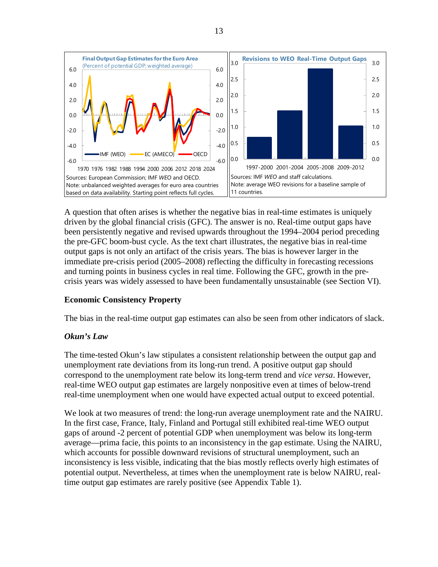

A question that often arises is whether the negative bias in real-time estimates is uniquely driven by the global financial crisis (GFC). The answer is no. Real-time output gaps have been persistently negative and revised upwards throughout the 1994–2004 period preceding the pre-GFC boom-bust cycle. As the text chart illustrates, the negative bias in real-time output gaps is not only an artifact of the crisis years. The bias is however larger in the immediate pre-crisis period (2005–2008) reflecting the difficulty in forecasting recessions and turning points in business cycles in real time. Following the GFC, growth in the precrisis years was widely assessed to have been fundamentally unsustainable (see Section VI).

## **Economic Consistency Property**

The bias in the real-time output gap estimates can also be seen from other indicators of slack.

## *Okun's Law*

The time-tested Okun's law stipulates a consistent relationship between the output gap and unemployment rate deviations from its long-run trend. A positive output gap should correspond to the unemployment rate below its long-term trend and *vice versa*. However, real-time WEO output gap estimates are largely nonpositive even at times of below-trend real-time unemployment when one would have expected actual output to exceed potential.

We look at two measures of trend: the long-run average unemployment rate and the NAIRU. In the first case, France, Italy, Finland and Portugal still exhibited real-time WEO output gaps of around -2 percent of potential GDP when unemployment was below its long-term average––prima facie, this points to an inconsistency in the gap estimate. Using the NAIRU, which accounts for possible downward revisions of structural unemployment, such an inconsistency is less visible, indicating that the bias mostly reflects overly high estimates of potential output. Nevertheless, at times when the unemployment rate is below NAIRU, realtime output gap estimates are rarely positive (see Appendix Table 1).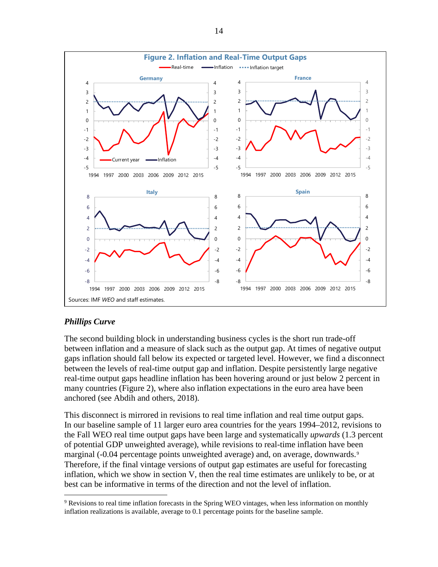

## *Phillips Curve*

The second building block in understanding business cycles is the short run trade-off between inflation and a measure of slack such as the output gap. At times of negative output gaps inflation should fall below its expected or targeted level. However, we find a disconnect between the levels of real-time output gap and inflation. Despite persistently large negative real-time output gaps headline inflation has been hovering around or just below 2 percent in many countries (Figure 2), where also inflation expectations in the euro area have been anchored (see Abdih and others, 2018).

This disconnect is mirrored in revisions to real time inflation and real time output gaps. In our baseline sample of 11 larger euro area countries for the years 1994–2012, revisions to the Fall WEO real time output gaps have been large and systematically *upwards* (1.3 percent of potential GDP unweighted average), while revisions to real-time inflation have been marginal (-0.04 percentage points unweighted average) and, on average, downwards.<sup>[9](#page-14-0)</sup> Therefore, if the final vintage versions of output gap estimates are useful for forecasting inflation, which we show in section V, then the real time estimates are unlikely to be, or at best can be informative in terms of the direction and not the level of inflation.

<span id="page-14-0"></span> <sup>9</sup> Revisions to real time inflation forecasts in the Spring WEO vintages, when less information on monthly inflation realizations is available, average to 0.1 percentage points for the baseline sample.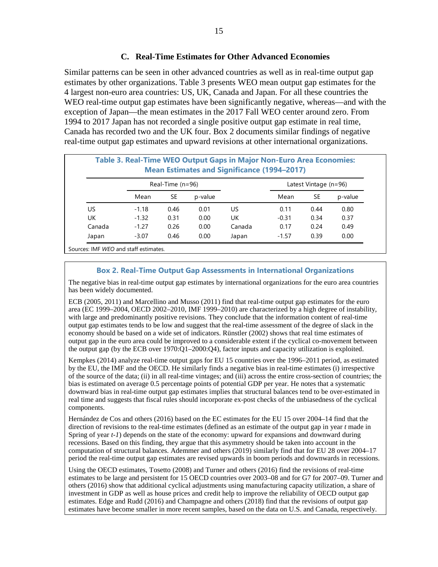## **C. Real-Time Estimates for Other Advanced Economies**

Similar patterns can be seen in other advanced countries as well as in real-time output gap estimates by other organizations. Table 3 presents WEO mean output gap estimates for the 4 largest non-euro area countries: US, UK, Canada and Japan. For all these countries the WEO real-time output gap estimates have been significantly negative, whereas—and with the exception of Japan—the mean estimates in the 2017 Fall WEO center around zero. From 1994 to 2017 Japan has not recorded a single positive output gap estimate in real time, Canada has recorded two and the UK four. Box 2 documents similar findings of negative real-time output gap estimates and upward revisions at other international organizations.

| Table 3. Real-Time WEO Output Gaps in Major Non-Euro Area Economies:<br><b>Mean Estimates and Significance (1994-2017)</b> |         |                    |         |        |         |                         |         |  |  |
|----------------------------------------------------------------------------------------------------------------------------|---------|--------------------|---------|--------|---------|-------------------------|---------|--|--|
|                                                                                                                            |         | Real-Time $(n=96)$ |         |        |         | Latest Vintage $(n=96)$ |         |  |  |
|                                                                                                                            | Mean    | SE                 | p-value |        | Mean    | SE                      | p-value |  |  |
| US                                                                                                                         | $-1.18$ | 0.46               | 0.01    | US     | 0.11    | 0.44                    | 0.80    |  |  |
| UK                                                                                                                         | $-1.32$ | 0.31               | 0.00    | UK     | $-0.31$ | 0.34                    | 0.37    |  |  |
| Canada                                                                                                                     | $-1.27$ | 0.26               | 0.00    | Canada | 0.17    | 0.24                    | 0.49    |  |  |
| Japan                                                                                                                      | $-3.07$ | 0.46               | 0.00    | Japan  | $-1.57$ | 0.39                    | 0.00    |  |  |

Sources: IMF *WEO* and staff estimates.

## **Box 2. Real-Time Output Gap Assessments in International Organizations**

The negative bias in real-time output gap estimates by international organizations for the euro area countries has been widely documented.

ECB (2005, 2011) and Marcellino and Musso (2011) find that real-time output gap estimates for the euro area (EC 1999–2004, OECD 2002–2010, IMF 1999–2010) are characterized by a high degree of instability, with large and predominantly positive revisions. They conclude that the information content of real-time output gap estimates tends to be low and suggest that the real-time assessment of the degree of slack in the economy should be based on a wide set of indicators. Rünstler (2002) shows that real time estimates of output gap in the euro area could be improved to a considerable extent if the cyclical co-movement between the output gap (by the ECB over 1970:Q1–2000:Q4), factor inputs and capacity utilization is exploited.

Kempkes (2014) analyze real-time output gaps for EU 15 countries over the 1996–2011 period, as estimated by the EU, the IMF and the OECD. He similarly finds a negative bias in real-time estimates (i) irrespective of the source of the data; (ii) in all real-time vintages; and (iii) across the entire cross-section of countries; the bias is estimated on average 0.5 percentage points of potential GDP per year. He notes that a systematic downward bias in real-time output gap estimates implies that structural balances tend to be over-estimated in real time and suggests that fiscal rules should incorporate ex-post checks of the unbiasedness of the cyclical components.

Hernández de Cos and others (2016) based on the EC estimates for the EU 15 over 2004–14 find that the direction of revisions to the real-time estimates (defined as an estimate of the output gap in year *t* made in Spring of year *t-1*) depends on the state of the economy: upward for expansions and downward during recessions. Based on this finding, they argue that this asymmetry should be taken into account in the computation of structural balances. Ademmer and others (2019) similarly find that for EU 28 over 2004–17 period the real-time output gap estimates are revised upwards in boom periods and downwards in recessions.

Using the OECD estimates, Tosetto (2008) and Turner and others (2016) find the revisions of real-time estimates to be large and persistent for 15 OECD countries over 2003–08 and for G7 for 2007–09. Turner and others (2016) show that additional cyclical adjustments using manufacturing capacity utilization, a share of investment in GDP as well as house prices and credit help to improve the reliability of OECD output gap estimates. Edge and Rudd (2016) and Champagne and others (2018) find that the revisions of output gap estimates have become smaller in more recent samples, based on the data on U.S. and Canada, respectively.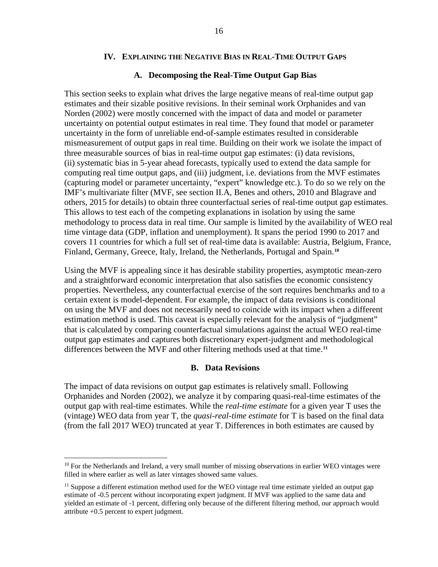## **IV. EXPLAINING THE NEGATIVE BIAS IN REAL-TIME OUTPUT GAPS**

## **A. Decomposing the Real-Time Output Gap Bias**

This section seeks to explain what drives the large negative means of real-time output gap estimates and their sizable positive revisions. In their seminal work Orphanides and van Norden (2002) were mostly concerned with the impact of data and model or parameter uncertainty on potential output estimates in real time. They found that model or parameter uncertainty in the form of unreliable end-of-sample estimates resulted in considerable mismeasurement of output gaps in real time. Building on their work we isolate the impact of three measurable sources of bias in real-time output gap estimates: (i) data revisions, (ii) systematic bias in 5-year ahead forecasts, typically used to extend the data sample for computing real time output gaps, and (iii) judgment, i.e. deviations from the MVF estimates (capturing model or parameter uncertainty, "expert" knowledge etc.). To do so we rely on the IMF's multivariate filter (MVF, see section II.A, Benes and others, 2010 and Blagrave and others, 2015 for details) to obtain three counterfactual series of real-time output gap estimates. This allows to test each of the competing explanations in isolation by using the same methodology to process data in real time. Our sample is limited by the availability of WEO real time vintage data (GDP, inflation and unemployment). It spans the period 1990 to 2017 and covers 11 countries for which a full set of real-time data is available: Austria, Belgium, France, Finland, Germany, Greece, Italy, Ireland, the Netherlands, Portugal and Spain.**[10](#page-16-0)**

Using the MVF is appealing since it has desirable stability properties, asymptotic mean-zero and a straightforward economic interpretation that also satisfies the economic consistency properties. Nevertheless, any counterfactual exercise of the sort requires benchmarks and to a certain extent is model-dependent. For example, the impact of data revisions is conditional on using the MVF and does not necessarily need to coincide with its impact when a different estimation method is used. This caveat is especially relevant for the analysis of "judgment" that is calculated by comparing counterfactual simulations against the actual WEO real-time output gap estimates and captures both discretionary expert-judgment and methodological differences between the MVF and other filtering methods used at that time. **[11](#page-16-1)**

## **B. Data Revisions**

The impact of data revisions on output gap estimates is relatively small. Following Orphanides and Norden (2002), we analyze it by comparing quasi-real-time estimates of the output gap with real-time estimates. While the *real-time estimate* for a given year T uses the (vintage) WEO data from year T, the *quasi-real-time estimate* for T is based on the final data (from the fall 2017 WEO) truncated at year T. Differences in both estimates are caused by

<span id="page-16-0"></span><sup>&</sup>lt;sup>10</sup> For the Netherlands and Ireland, a very small number of missing observations in earlier WEO vintages were filled in where earlier as well as later vintages showed same values.

<span id="page-16-1"></span> $11$  Suppose a different estimation method used for the WEO vintage real time estimate yielded an output gap estimate of -0.5 percent without incorporating expert judgment. If MVF was applied to the same data and yielded an estimate of -1 percent, differing only because of the different filtering method, our approach would attribute +0.5 percent to expert judgment.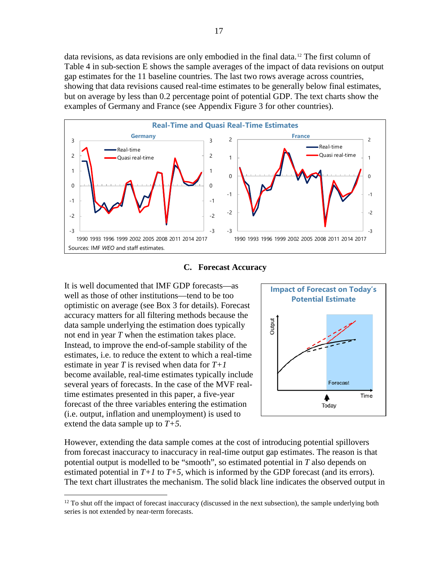data revisions, as data revisions are only embodied in the final data.<sup>[12](#page-17-0)</sup> The first column of Table 4 in sub-section E shows the sample averages of the impact of data revisions on output gap estimates for the 11 baseline countries. The last two rows average across countries, showing that data revisions caused real-time estimates to be generally below final estimates, but on average by less than 0.2 percentage point of potential GDP. The text charts show the examples of Germany and France (see Appendix Figure 3 for other countries).



## **C. Forecast Accuracy**

It is well documented that IMF GDP forecasts—as well as those of other institutions—tend to be too optimistic on average (see Box 3 for details). Forecast accuracy matters for all filtering methods because the data sample underlying the estimation does typically not end in year *T* when the estimation takes place. Instead, to improve the end-of-sample stability of the estimates, i.e. to reduce the extent to which a real-time estimate in year *T* is revised when data for *T+1* become available, real-time estimates typically include several years of forecasts. In the case of the MVF realtime estimates presented in this paper, a five-year forecast of the three variables entering the estimation (i.e. output, inflation and unemployment) is used to extend the data sample up to *T+5*.



However, extending the data sample comes at the cost of introducing potential spillovers from forecast inaccuracy to inaccuracy in real-time output gap estimates. The reason is that potential output is modelled to be "smooth", so estimated potential in *T* also depends on estimated potential in  $T+1$  to  $T+5$ , which is informed by the GDP forecast (and its errors). The text chart illustrates the mechanism. The solid black line indicates the observed output in

<span id="page-17-0"></span><sup>&</sup>lt;sup>12</sup> To shut off the impact of forecast inaccuracy (discussed in the next subsection), the sample underlying both series is not extended by near-term forecasts.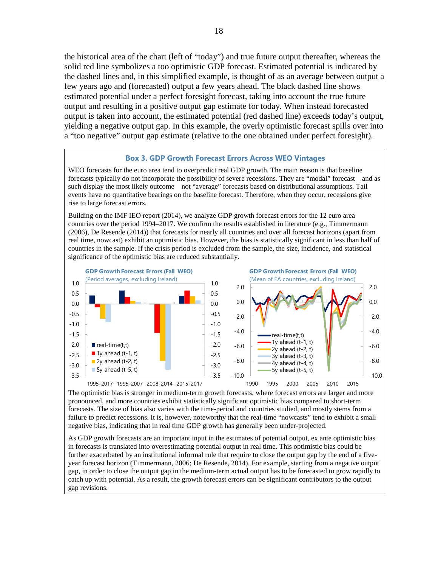the historical area of the chart (left of "today") and true future output thereafter, whereas the solid red line symbolizes a too optimistic GDP forecast. Estimated potential is indicated by the dashed lines and, in this simplified example, is thought of as an average between output a few years ago and (forecasted) output a few years ahead. The black dashed line shows estimated potential under a perfect foresight forecast, taking into account the true future output and resulting in a positive output gap estimate for today. When instead forecasted output is taken into account, the estimated potential (red dashed line) exceeds today's output, yielding a negative output gap. In this example, the overly optimistic forecast spills over into a "too negative" output gap estimate (relative to the one obtained under perfect foresight).

#### **Box 3. GDP Growth Forecast Errors Across WEO Vintages**

WEO forecasts for the euro area tend to overpredict real GDP growth. The main reason is that baseline forecasts typically do not incorporate the possibility of severe recessions. They are "modal" forecast—and as such display the most likely outcome—not "average" forecasts based on distributional assumptions. Tail events have no quantitative bearings on the baseline forecast. Therefore, when they occur, recessions give rise to large forecast errors.

Building on the IMF IEO report (2014), we analyze GDP growth forecast errors for the 12 euro area countries over the period 1994–2017. We confirm the results established in literature (e.g., Timmermann (2006), De Resende (2014)) that forecasts for nearly all countries and over all forecast horizons (apart from real time, nowcast) exhibit an optimistic bias. However, the bias is statistically significant in less than half of countries in the sample. If the crisis period is excluded from the sample, the size, incidence, and statistical significance of the optimistic bias are reduced substantially.



The optimistic bias is stronger in medium-term growth forecasts, where forecast errors are larger and more pronounced, and more countries exhibit statistically significant optimistic bias compared to short-term forecasts. The size of bias also varies with the time-period and countries studied, and mostly stems from a failure to predict recessions. It is, however, noteworthy that the real-time "nowcasts" tend to exhibit a small negative bias, indicating that in real time GDP growth has generally been under-projected.

As GDP growth forecasts are an important input in the estimates of potential output, ex ante optimistic bias in forecasts is translated into overestimating potential output in real time. This optimistic bias could be further exacerbated by an institutional informal rule that require to close the output gap by the end of a fiveyear forecast horizon (Timmermann, 2006; De Resende, 2014). For example, starting from a negative output gap, in order to close the output gap in the medium-term actual output has to be forecasted to grow rapidly to catch up with potential. As a result, the growth forecast errors can be significant contributors to the output gap revisions.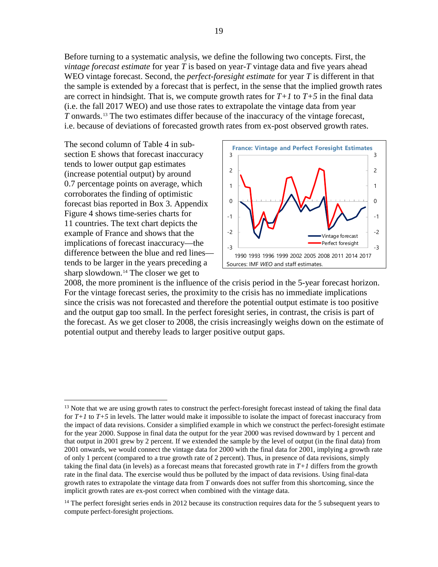Before turning to a systematic analysis, we define the following two concepts. First, the *vintage forecast estimate* for year *T* is based on year-*T* vintage data and five years ahead WEO vintage forecast. Second, the *perfect-foresight estimate* for year *T* is different in that the sample is extended by a forecast that is perfect, in the sense that the implied growth rates are correct in hindsight. That is, we compute growth rates for  $T+1$  to  $T+5$  in the final data (i.e. the fall 2017 WEO) and use those rates to extrapolate the vintage data from year *T* onwards.<sup>[13](#page-19-0)</sup> The two estimates differ because of the inaccuracy of the vintage forecast, i.e. because of deviations of forecasted growth rates from ex-post observed growth rates.

The second column of Table 4 in subsection E shows that forecast inaccuracy tends to lower output gap estimates (increase potential output) by around 0.7 percentage points on average, which corroborates the finding of optimistic forecast bias reported in Box 3. Appendix Figure 4 shows time-series charts for 11 countries. The text chart depicts the example of France and shows that the implications of forecast inaccuracy—the difference between the blue and red lines tends to be larger in the years preceding a sharp slowdown.<sup>[14](#page-19-1)</sup> The closer we get to



2008, the more prominent is the influence of the crisis period in the 5-year forecast horizon. For the vintage forecast series, the proximity to the crisis has no immediate implications since the crisis was not forecasted and therefore the potential output estimate is too positive and the output gap too small. In the perfect foresight series, in contrast, the crisis is part of the forecast. As we get closer to 2008, the crisis increasingly weighs down on the estimate of potential output and thereby leads to larger positive output gaps.

<span id="page-19-0"></span><sup>&</sup>lt;sup>13</sup> Note that we are using growth rates to construct the perfect-foresight forecast instead of taking the final data for *T+1* to *T+5* in levels. The latter would make it impossible to isolate the impact of forecast inaccuracy from the impact of data revisions. Consider a simplified example in which we construct the perfect-foresight estimate for the year 2000. Suppose in final data the output for the year 2000 was revised downward by 1 percent and that output in 2001 grew by 2 percent. If we extended the sample by the level of output (in the final data) from 2001 onwards, we would connect the vintage data for 2000 with the final data for 2001, implying a growth rate of only 1 percent (compared to a true growth rate of 2 percent). Thus, in presence of data revisions, simply taking the final data (in levels) as a forecast means that forecasted growth rate in  $T+1$  differs from the growth rate in the final data. The exercise would thus be polluted by the impact of data revisions. Using final-data growth rates to extrapolate the vintage data from *T* onwards does not suffer from this shortcoming, since the implicit growth rates are ex-post correct when combined with the vintage data.

<span id="page-19-1"></span><sup>&</sup>lt;sup>14</sup> The perfect foresight series ends in 2012 because its construction requires data for the 5 subsequent years to compute perfect-foresight projections.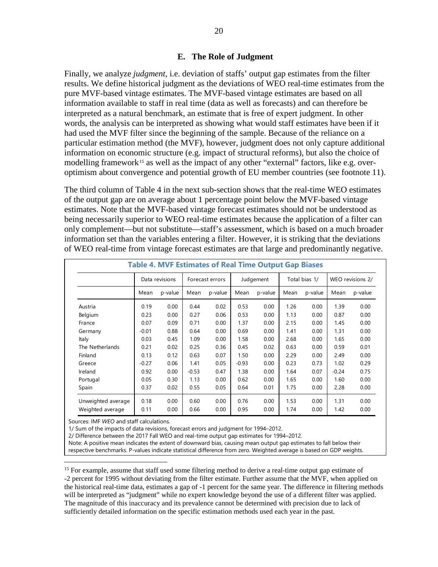## **E. The Role of Judgment**

Finally, we analyze *judgment*, i.e. deviation of staffs' output gap estimates from the filter results. We define historical judgment as the deviations of WEO real-time estimates from the pure MVF-based vintage estimates. The MVF-based vintage estimates are based on all information available to staff in real time (data as well as forecasts) and can therefore be interpreted as a natural benchmark, an estimate that is free of expert judgment. In other words, the analysis can be interpreted as showing what would staff estimates have been if it had used the MVF filter since the beginning of the sample. Because of the reliance on a particular estimation method (the MVF), however, judgment does not only capture additional information on economic structure (e.g. impact of structural reforms), but also the choice of modelling framework<sup>[15](#page-20-0)</sup> as well as the impact of any other "external" factors, like e.g. overoptimism about convergence and potential growth of EU member countries (see footnote 11).

The third column of Table 4 in the next sub-section shows that the real-time WEO estimates of the output gap are on average about 1 percentage point below the MVF-based vintage estimates. Note that the MVF-based vintage forecast estimates should not be understood as being necessarily superior to WEO real-time estimates because the application of a filter can only complement—but not substitute—staff's assessment, which is based on a much broader information set than the variables entering a filter. However, it is striking that the deviations of WEO real-time from vintage forecast estimates are that large and predominantly negative.

| <b>Table 4. MVF Estimates of Real Time Output Gap Biases</b> |         |                |         |                 |         |           |      |               |         |                  |  |
|--------------------------------------------------------------|---------|----------------|---------|-----------------|---------|-----------|------|---------------|---------|------------------|--|
|                                                              |         | Data revisions |         | Forecast errors |         | Judgement |      | Total bias 1/ |         | WEO revisions 2/ |  |
|                                                              | Mean    | p-value        | Mean    | p-value         | Mean    | p-value   | Mean | p-value       | Mean    | p-value          |  |
| Austria                                                      | 0.19    | 0.00           | 0.44    | 0.02            | 0.53    | 0.00      | 1.26 | 0.00          | 1.39    | 0.00             |  |
| Belgium                                                      | 0.23    | 0.00           | 0.27    | 0.06            | 0.53    | 0.00      | 1.13 | 0.00          | 0.87    | 0.00             |  |
| France                                                       | 0.07    | 0.09           | 0.71    | 0.00            | 1.37    | 0.00      | 2.15 | 0.00          | 1.45    | 0.00             |  |
| Germany                                                      | $-0.01$ | 0.88           | 0.64    | 0.00            | 0.69    | 0.00      | 1.41 | 0.00          | 1.31    | 0.00             |  |
| Italy                                                        | 0.03    | 0.45           | 1.09    | 0.00            | 1.58    | 0.00      | 2.68 | 0.00          | 1.65    | 0.00             |  |
| The Netherlands                                              | 0.21    | 0.02           | 0.25    | 0.36            | 0.45    | 0.02      | 0.63 | 0.00          | 0.59    | 0.01             |  |
| Finland                                                      | 0.13    | 0.12           | 0.63    | 0.07            | 1.50    | 0.00      | 2.29 | 0.00          | 2.49    | 0.00             |  |
| Greece                                                       | $-0.27$ | 0.06           | 1.41    | 0.05            | $-0.93$ | 0.00      | 0.23 | 0.73          | 1.02    | 0.29             |  |
| Ireland                                                      | 0.92    | 0.00           | $-0.53$ | 0.47            | 1.38    | 0.00      | 1.64 | 0.07          | $-0.24$ | 0.75             |  |
| Portugal                                                     | 0.05    | 0.30           | 1.13    | 0.00            | 0.62    | 0.00      | 1.65 | 0.00          | 1.60    | 0.00             |  |
| Spain                                                        | 0.37    | 0.02           | 0.55    | 0.05            | 0.64    | 0.01      | 1.75 | 0.00          | 2.28    | 0.00             |  |
| Unweighted average                                           | 0.18    | 0.00           | 0.60    | 0.00            | 0.76    | 0.00      | 1.53 | 0.00          | 1.31    | 0.00             |  |
| Weighted average                                             | 0.11    | 0.00           | 0.66    | 0.00            | 0.95    | 0.00      | 1.74 | 0.00          | 1.42    | 0.00             |  |

Sources: IMF *WEO* and staff calculations.

1/ Sum of the impacts of data revisions, forecast errors and judgment for 1994–2012.

2/ Difference between the 2017 Fall WEO and real-time output gap estimates for 1994–2012.

Note: A positive mean indicates the extent of downward bias, causing mean output gap estimates to fall below their respective benchmarks. P-values indicate statistical difference from zero. Weighted average is based on GDP weights.

<span id="page-20-0"></span><sup>15</sup> For example, assume that staff used some filtering method to derive a real-time output gap estimate of -2 percent for 1995 without deviating from the filter estimate. Further assume that the MVF, when applied on the historical real-time data, estimates a gap of -1 percent for the same year. The difference in filtering methods will be interpreted as "judgment" while no expert knowledge beyond the use of a different filter was applied. The magnitude of this inaccuracy and its prevalence cannot be determined with precision due to lack of sufficiently detailed information on the specific estimation methods used each year in the past.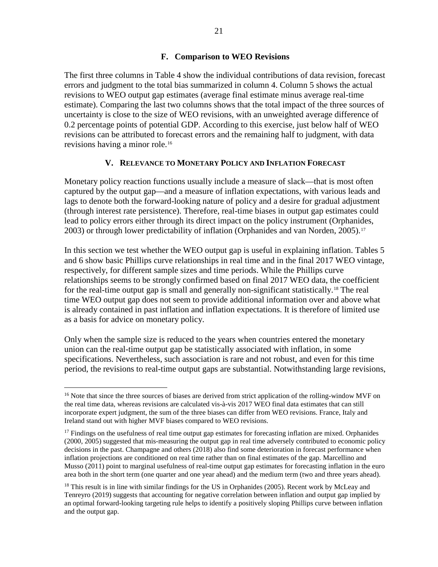## **F. Comparison to WEO Revisions**

The first three columns in Table 4 show the individual contributions of data revision, forecast errors and judgment to the total bias summarized in column 4. Column 5 shows the actual revisions to WEO output gap estimates (average final estimate minus average real-time estimate). Comparing the last two columns shows that the total impact of the three sources of uncertainty is close to the size of WEO revisions, with an unweighted average difference of 0.2 percentage points of potential GDP. According to this exercise, just below half of WEO revisions can be attributed to forecast errors and the remaining half to judgment, with data revisions having a minor role.[16](#page-21-0)

## **V. RELEVANCE TO MONETARY POLICY AND INFLATION FORECAST**

Monetary policy reaction functions usually include a measure of slack—that is most often captured by the output gap—and a measure of inflation expectations, with various leads and lags to denote both the forward-looking nature of policy and a desire for gradual adjustment (through interest rate persistence). Therefore, real-time biases in output gap estimates could lead to policy errors either through its direct impact on the policy instrument (Orphanides, 2003) or through lower predictability of inflation (Orphanides and van Norden, 2005).[17](#page-21-1)

In this section we test whether the WEO output gap is useful in explaining inflation. Tables 5 and 6 show basic Phillips curve relationships in real time and in the final 2017 WEO vintage, respectively, for different sample sizes and time periods. While the Phillips curve relationships seems to be strongly confirmed based on final 2017 WEO data, the coefficient for the real-time output gap is small and generally non-significant statistically.<sup>[18](#page-21-2)</sup> The real time WEO output gap does not seem to provide additional information over and above what is already contained in past inflation and inflation expectations. It is therefore of limited use as a basis for advice on monetary policy.

Only when the sample size is reduced to the years when countries entered the monetary union can the real-time output gap be statistically associated with inflation, in some specifications. Nevertheless, such association is rare and not robust, and even for this time period, the revisions to real-time output gaps are substantial. Notwithstanding large revisions,

<span id="page-21-0"></span><sup>&</sup>lt;sup>16</sup> Note that since the three sources of biases are derived from strict application of the rolling-window MVF on the real time data, whereas revisions are calculated vis-à-vis 2017 WEO final data estimates that can still incorporate expert judgment, the sum of the three biases can differ from WEO revisions. France, Italy and Ireland stand out with higher MVF biases compared to WEO revisions.

<span id="page-21-1"></span> $17$  Findings on the usefulness of real time output gap estimates for forecasting inflation are mixed. Orphanides (2000, 2005) suggested that mis-measuring the output gap in real time adversely contributed to economic policy decisions in the past. Champagne and others (2018) also find some deterioration in forecast performance when inflation projections are conditioned on real time rather than on final estimates of the gap. Marcellino and Musso (2011) point to marginal usefulness of real-time output gap estimates for forecasting inflation in the euro area both in the short term (one quarter and one year ahead) and the medium term (two and three years ahead).

<span id="page-21-2"></span><sup>&</sup>lt;sup>18</sup> This result is in line with similar findings for the US in Orphanides (2005). Recent work by McLeay and Tenreyro (2019) suggests that accounting for negative correlation between inflation and output gap implied by an optimal forward-looking targeting rule helps to identify a positively sloping Phillips curve between inflation and the output gap.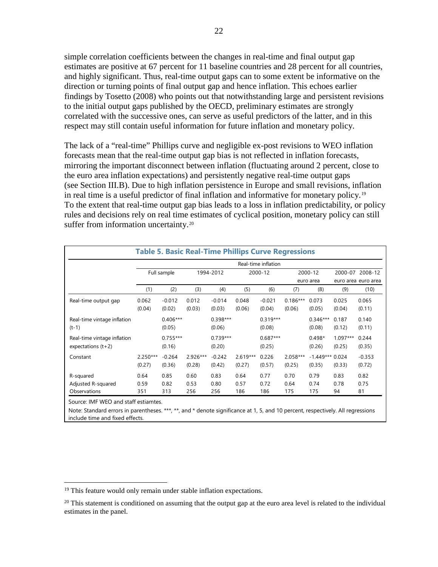simple correlation coefficients between the changes in real-time and final output gap estimates are positive at 67 percent for 11 baseline countries and 28 percent for all countries, and highly significant. Thus, real-time output gaps can to some extent be informative on the direction or turning points of final output gap and hence inflation. This echoes earlier findings by Tosetto (2008) who points out that notwithstanding large and persistent revisions to the initial output gaps published by the OECD, preliminary estimates are strongly correlated with the successive ones, can serve as useful predictors of the latter, and in this respect may still contain useful information for future inflation and monetary policy.

The lack of a "real-time" Phillips curve and negligible ex-post revisions to WEO inflation forecasts mean that the real-time output gap bias is not reflected in inflation forecasts, mirroring the important disconnect between inflation (fluctuating around 2 percent, close to the euro area inflation expectations) and persistently negative real-time output gaps (see Section III.B). Due to high inflation persistence in Europe and small revisions, inflation in real time is a useful predictor of final inflation and informative for monetary policy.[19](#page-22-0) To the extent that real-time output gap bias leads to a loss in inflation predictability, or policy rules and decisions rely on real time estimates of cyclical position, monetary policy can still suffer from information uncertainty.<sup>[20](#page-22-1)</sup>

|                                                     |                      |                      |                    |                      |                      | Real-time inflation  |                      |                             |                      |                    |
|-----------------------------------------------------|----------------------|----------------------|--------------------|----------------------|----------------------|----------------------|----------------------|-----------------------------|----------------------|--------------------|
|                                                     |                      | Full sample          |                    | 1994-2012            | 2000-12              |                      |                      | 2000-12                     | 2000-07              | 2008-12            |
|                                                     |                      |                      |                    |                      |                      |                      | euro area            |                             | euro area euro area  |                    |
|                                                     | (1)                  | (2)                  | (3)                | (4)                  | (5)                  | (6)                  | (7)                  | (8)                         | (9)                  | (10)               |
| Real-time output gap                                | 0.062<br>(0.04)      | $-0.012$<br>(0.02)   | 0.012<br>(0.03)    | $-0.014$<br>(0.03)   | 0.048<br>(0.06)      | $-0.021$<br>(0.04)   | $0.186***$<br>(0.06) | 0.073<br>(0.05)             | 0.025<br>(0.04)      | 0.065<br>(0.11)    |
| Real-time vintage inflation<br>$(t-1)$              |                      | $0.406***$<br>(0.05) |                    | $0.398***$<br>(0.06) |                      | $0.319***$<br>(0.08) |                      | $0.346***$<br>(0.08)        | 0.187<br>(0.12)      | 0.140<br>(0.11)    |
| Real-time vintage inflation<br>expectations $(t+2)$ |                      | $0.755***$<br>(0.16) |                    | $0.739***$<br>(0.20) |                      | $0.687***$<br>(0.25) |                      | $0.498*$<br>(0.26)          | $1.097***$<br>(0.25) | 0.244<br>(0.35)    |
| Constant                                            | $2.250***$<br>(0.27) | $-0.264$<br>(0.36)   | 2.926***<br>(0.28) | $-0.242$<br>(0.42)   | $2.619***$<br>(0.27) | 0.226<br>(0.57)      | 2.058***<br>(0.25)   | $-1.449***$ 0.024<br>(0.35) | (0.33)               | $-0.353$<br>(0.72) |
| R-squared                                           | 0.64                 | 0.85                 | 0.60               | 0.83                 | 0.64                 | 0.77                 | 0.70                 | 0.79                        | 0.83                 | 0.82               |
| Adjusted R-squared                                  | 0.59                 | 0.82                 | 0.53               | 0.80                 | 0.57                 | 0.72                 | 0.64                 | 0.74                        | 0.78                 | 0.75               |
| Observations                                        | 351                  | 313                  | 256                | 256                  | 186                  | 186                  | 175                  | 175                         | 94                   | 81                 |

Note: Standard errors in parentheses. \*\*\*, \*\*, and \* denote significance at 1, 5, and 10 percent, respectively. All regressions include time and fixed effects.

<span id="page-22-0"></span><sup>&</sup>lt;sup>19</sup> This feature would only remain under stable inflation expectations.

<span id="page-22-1"></span> $20$  This statement is conditioned on assuming that the output gap at the euro area level is related to the individual estimates in the panel.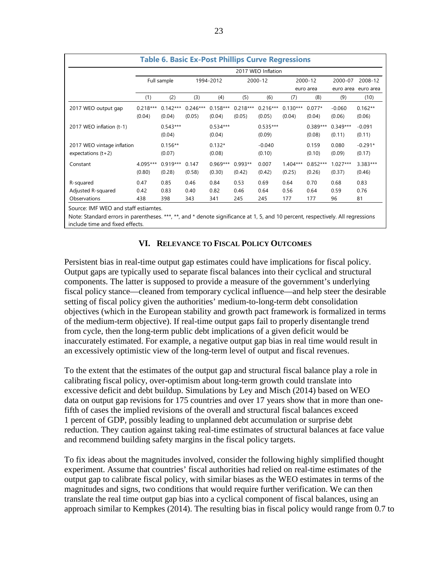|                            |            |             |            | <b>Table 6. Basic Ex-Post Phillips Curve Regressions</b> |            |                    |            |            |            |           |
|----------------------------|------------|-------------|------------|----------------------------------------------------------|------------|--------------------|------------|------------|------------|-----------|
|                            |            |             |            |                                                          |            | 2017 WEO Inflation |            |            |            |           |
|                            |            | Full sample |            | 1994-2012                                                |            | 2000-12            |            | 2000-12    | 2000-07    | 2008-12   |
|                            |            |             |            |                                                          |            |                    |            | euro area  | euro area  | euro area |
|                            | (1)        | (2)         | (3)        | (4)                                                      | (5)        | (6)                | (7)        | (8)        | (9)        | (10)      |
| 2017 WEO output gap        | $0.218***$ | $0.142***$  | $0.246***$ | $0.158***$                                               | $0.218***$ | $0.216***$         | $0.130***$ | $0.077*$   | $-0.060$   | $0.162**$ |
|                            | (0.04)     | (0.04)      | (0.05)     | (0.04)                                                   | (0.05)     | (0.05)             | (0.04)     | (0.04)     | (0.06)     | (0.06)    |
| 2017 WEO inflation (t-1)   |            | $0.543***$  |            | $0.534***$                                               |            | $0.535***$         |            | $0.389***$ | $0.349***$ | $-0.091$  |
|                            |            | (0.04)      |            | (0.04)                                                   |            | (0.09)             |            | (0.08)     | (0.11)     | (0.11)    |
| 2017 WEO vintage inflation |            | $0.156**$   |            | $0.132*$                                                 |            | $-0.040$           |            | 0.159      | 0.080      | $-0.291*$ |
| expectations $(t+2)$       |            | (0.07)      |            | (0.08)                                                   |            | (0.10)             |            | (0.10)     | (0.09)     | (0.17)    |
| Constant                   | 4.095***   | $0.919***$  | 0.147      | $0.969***$                                               | $0.993**$  | 0.007              | $1.404***$ | $0.852***$ | $1.027***$ | 3.383***  |
|                            | (0.80)     | (0.28)      | (0.58)     | (0.30)                                                   | (0.42)     | (0.42)             | (0.25)     | (0.26)     | (0.37)     | (0.46)    |
| R-squared                  | 0.47       | 0.85        | 0.46       | 0.84                                                     | 0.53       | 0.69               | 0.64       | 0.70       | 0.68       | 0.83      |
| Adjusted R-squared         | 0.42       | 0.83        | 0.40       | 0.82                                                     | 0.46       | 0.64               | 0.56       | 0.64       | 0.59       | 0.76      |
| Observations               | 438        | 398         | 343        | 341                                                      | 245        | 245                | 177        | 177        | 96         | 81        |

Note: Standard errors in parentheses. \*\*\*, \*\*, and \* denote significance at 1, 5, and 10 percent, respectively. All regressions include time and fixed effects.

## **VI. RELEVANCE TO FISCAL POLICY OUTCOMES**

Persistent bias in real-time output gap estimates could have implications for fiscal policy. Output gaps are typically used to separate fiscal balances into their cyclical and structural components. The latter is supposed to provide a measure of the government's underlying fiscal policy stance—cleaned from temporary cyclical influence—and help steer the desirable setting of fiscal policy given the authorities' medium-to-long-term debt consolidation objectives (which in the European stability and growth pact framework is formalized in terms of the medium-term objective). If real-time output gaps fail to properly disentangle trend from cycle, then the long-term public debt implications of a given deficit would be inaccurately estimated. For example, a negative output gap bias in real time would result in an excessively optimistic view of the long-term level of output and fiscal revenues.

To the extent that the estimates of the output gap and structural fiscal balance play a role in calibrating fiscal policy, over-optimism about long-term growth could translate into excessive deficit and debt buildup. Simulations by Ley and Misch (2014) based on WEO data on output gap revisions for 175 countries and over 17 years show that in more than onefifth of cases the implied revisions of the overall and structural fiscal balances exceed 1 percent of GDP, possibly leading to unplanned debt accumulation or surprise debt reduction. They caution against taking real-time estimates of structural balances at face value and recommend building safety margins in the fiscal policy targets.

To fix ideas about the magnitudes involved, consider the following highly simplified thought experiment. Assume that countries' fiscal authorities had relied on real-time estimates of the output gap to calibrate fiscal policy, with similar biases as the WEO estimates in terms of the magnitudes and signs, two conditions that would require further verification. We can then translate the real time output gap bias into a cyclical component of fiscal balances, using an approach similar to Kempkes (2014). The resulting bias in fiscal policy would range from 0.7 to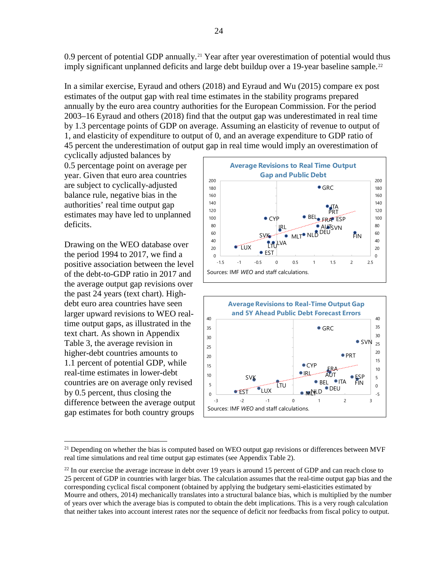0.9 percent of potential GDP annually.<sup>[21](#page-24-0)</sup> Year after year overestimation of potential would thus imply significant unplanned deficits and large debt buildup over a 19-year baseline sample.<sup>[22](#page-24-1)</sup>

In a similar exercise, Eyraud and others (2018) and Eyraud and Wu (2015) compare ex post estimates of the output gap with real time estimates in the stability programs prepared annually by the euro area country authorities for the European Commission. For the period 2003–16 Eyraud and others (2018) find that the output gap was underestimated in real time by 1.3 percentage points of GDP on average. Assuming an elasticity of revenue to output of 1, and elasticity of expenditure to output of 0, and an average expenditure to GDP ratio of 45 percent the underestimation of output gap in real time would imply an overestimation of

cyclically adjusted balances by 0.5 percentage point on average per year. Given that euro area countries are subject to cyclically-adjusted balance rule, negative bias in the authorities' real time output gap estimates may have led to unplanned deficits.

Drawing on the WEO database over the period 1994 to 2017, we find a positive association between the level of the debt-to-GDP ratio in 2017 and the average output gap revisions over the past 24 years (text chart). Highdebt euro area countries have seen larger upward revisions to WEO realtime output gaps, as illustrated in the text chart. As shown in Appendix Table 3, the average revision in higher-debt countries amounts to 1.1 percent of potential GDP, while real-time estimates in lower-debt countries are on average only revised by 0.5 percent, thus closing the difference between the average output gap estimates for both country groups





<span id="page-24-0"></span> $21$  Depending on whether the bias is computed based on WEO output gap revisions or differences between MVF real time simulations and real time output gap estimates (see Appendix Table 2).

<span id="page-24-1"></span> $^{22}$  In our exercise the average increase in debt over 19 years is around 15 percent of GDP and can reach close to 25 percent of GDP in countries with larger bias. The calculation assumes that the real-time output gap bias and the corresponding cyclical fiscal component (obtained by applying the budgetary semi-elasticities estimated by Mourre and others, 2014) mechanically translates into a structural balance bias, which is multiplied by the number of years over which the average bias is computed to obtain the debt implications. This is a very rough calculation that neither takes into account interest rates nor the sequence of deficit nor feedbacks from fiscal policy to output.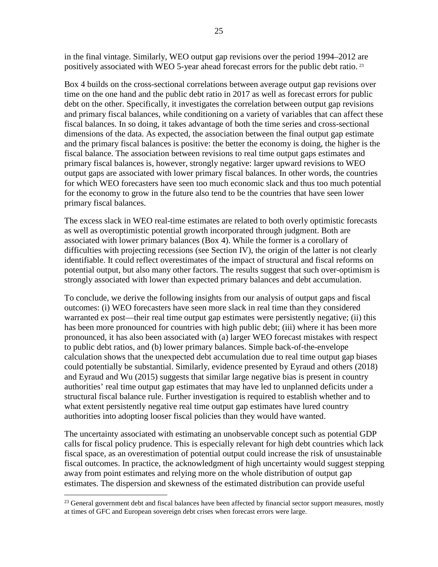in the final vintage. Similarly, WEO output gap revisions over the period 1994–2012 are positively associated with WEO 5-year ahead forecast errors for the public debt ratio. [23](#page-25-0)

Box 4 builds on the cross-sectional correlations between average output gap revisions over time on the one hand and the public debt ratio in 2017 as well as forecast errors for public debt on the other. Specifically, it investigates the correlation between output gap revisions and primary fiscal balances, while conditioning on a variety of variables that can affect these fiscal balances. In so doing, it takes advantage of both the time series and cross-sectional dimensions of the data. As expected, the association between the final output gap estimate and the primary fiscal balances is positive: the better the economy is doing, the higher is the fiscal balance. The association between revisions to real time output gaps estimates and primary fiscal balances is, however, strongly negative: larger upward revisions to WEO output gaps are associated with lower primary fiscal balances. In other words, the countries for which WEO forecasters have seen too much economic slack and thus too much potential for the economy to grow in the future also tend to be the countries that have seen lower primary fiscal balances.

The excess slack in WEO real-time estimates are related to both overly optimistic forecasts as well as overoptimistic potential growth incorporated through judgment. Both are associated with lower primary balances (Box 4). While the former is a corollary of difficulties with projecting recessions (see Section IV), the origin of the latter is not clearly identifiable. It could reflect overestimates of the impact of structural and fiscal reforms on potential output, but also many other factors. The results suggest that such over-optimism is strongly associated with lower than expected primary balances and debt accumulation.

To conclude, we derive the following insights from our analysis of output gaps and fiscal outcomes: (i) WEO forecasters have seen more slack in real time than they considered warranted ex post—their real time output gap estimates were persistently negative; (ii) this has been more pronounced for countries with high public debt; (iii) where it has been more pronounced, it has also been associated with (a) larger WEO forecast mistakes with respect to public debt ratios, and (b) lower primary balances. Simple back-of-the-envelope calculation shows that the unexpected debt accumulation due to real time output gap biases could potentially be substantial. Similarly, evidence presented by Eyraud and others (2018) and Eyraud and Wu (2015) suggests that similar large negative bias is present in country authorities' real time output gap estimates that may have led to unplanned deficits under a structural fiscal balance rule. Further investigation is required to establish whether and to what extent persistently negative real time output gap estimates have lured country authorities into adopting looser fiscal policies than they would have wanted.

The uncertainty associated with estimating an unobservable concept such as potential GDP calls for fiscal policy prudence. This is especially relevant for high debt countries which lack fiscal space, as an overestimation of potential output could increase the risk of unsustainable fiscal outcomes. In practice, the acknowledgment of high uncertainty would suggest stepping away from point estimates and relying more on the whole distribution of output gap estimates. The dispersion and skewness of the estimated distribution can provide useful

<span id="page-25-0"></span><sup>&</sup>lt;sup>23</sup> General government debt and fiscal balances have been affected by financial sector support measures, mostly at times of GFC and European sovereign debt crises when forecast errors were large.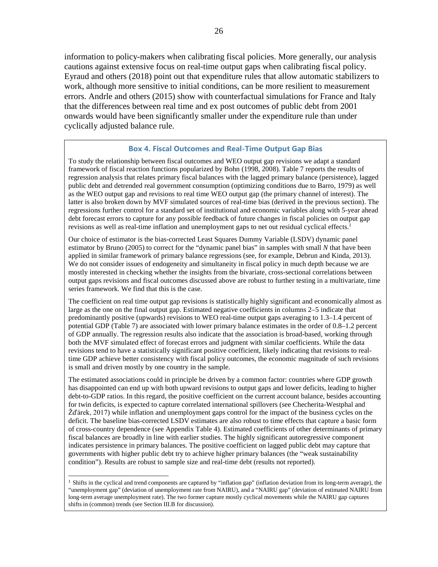information to policy-makers when calibrating fiscal policies. More generally, our analysis cautions against extensive focus on real-time output gaps when calibrating fiscal policy. Eyraud and others (2018) point out that expenditure rules that allow automatic stabilizers to work, although more sensitive to initial conditions, can be more resilient to measurement errors. Andrle and others (2015) show with counterfactual simulations for France and Italy that the differences between real time and ex post outcomes of public debt from 2001 onwards would have been significantly smaller under the expenditure rule than under cyclically adjusted balance rule.

#### **Box 4. Fiscal Outcomes and Real-Time Output Gap Bias**

To study the relationship between fiscal outcomes and WEO output gap revisions we adapt a standard framework of fiscal reaction functions popularized by Bohn (1998, 2008). Table 7 reports the results of regression analysis that relates primary fiscal balances with the lagged primary balance (persistence), lagged public debt and detrended real government consumption (optimizing conditions due to Barro, 1979) as well as the WEO output gap and revisions to real time WEO output gap (the primary channel of interest). The latter is also broken down by MVF simulated sources of real-time bias (derived in the previous section). The regressions further control for a standard set of institutional and economic variables along with 5-year ahead debt forecast errors to capture for any possible feedback of future changes in fiscal policies on output gap revisions as well as real-time inflation and unemployment gaps to net out residual cyclical effects.<sup>1</sup>

Our choice of estimator is the bias-corrected Least Squares Dummy Variable (LSDV) dynamic panel estimator by Bruno (2005) to correct for the "dynamic panel bias" in samples with small *N* that have been applied in similar framework of primary balance regressions (see, for example, Debrun and Kinda, 2013). We do not consider issues of endogeneity and simultaneity in fiscal policy in much depth because we are mostly interested in checking whether the insights from the bivariate, cross-sectional correlations between output gaps revisions and fiscal outcomes discussed above are robust to further testing in a multivariate, time series framework. We find that this is the case.

The coefficient on real time output gap revisions is statistically highly significant and economically almost as large as the one on the final output gap. Estimated negative coefficients in columns 2–5 indicate that predominantly positive (upwards) revisions to WEO real-time output gaps averaging to 1.3–1.4 percent of potential GDP (Table 7) are associated with lower primary balance estimates in the order of 0.8–1.2 percent of GDP annually. The regression results also indicate that the association is broad-based, working through both the MVF simulated effect of forecast errors and judgment with similar coefficients. While the data revisions tend to have a statistically significant positive coefficient, likely indicating that revisions to realtime GDP achieve better consistency with fiscal policy outcomes, the economic magnitude of such revisions is small and driven mostly by one country in the sample.

The estimated associations could in principle be driven by a common factor: countries where GDP growth has disappointed can end up with both upward revisions to output gaps and lower deficits, leading to higher debt-to-GDP ratios. In this regard, the positive coefficient on the current account balance, besides accounting for twin deficits, is expected to capture correlated international spillovers (see Checherita-Westphal and Žďárek, 2017) while inflation and unemployment gaps control for the impact of the business cycles on the deficit. The baseline bias-corrected LSDV estimates are also robust to time effects that capture a basic form of cross-country dependence (see Appendix Table 4). Estimated coefficients of other determinants of primary fiscal balances are broadly in line with earlier studies. The highly significant autoregressive component indicates persistence in primary balances. The positive coefficient on lagged public debt may capture that governments with higher public debt try to achieve higher primary balances (the "weak sustainability condition"). Results are robust to sample size and real-time debt (results not reported).

\_\_\_\_\_\_\_\_\_\_\_\_\_\_\_\_\_\_\_\_\_\_\_\_\_\_\_\_

<sup>&</sup>lt;sup>1</sup> Shifts in the cyclical and trend components are captured by "inflation gap" (inflation deviation from its long-term average), the "unemployment gap" (deviation of unemployment rate from NAIRU), and a "NAIRU gap" (deviation of estimated NAIRU from long-term average unemployment rate). The two former capture mostly cyclical movements while the NAIRU gap captures shifts in (common) trends (see Section III.B for discussion).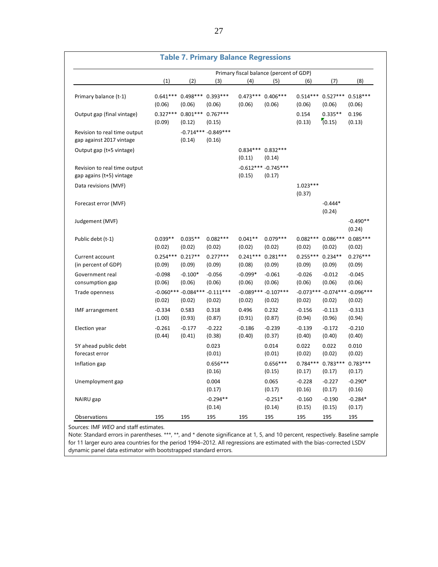|                                                          |                      |                               | <b>Table 7. Primary Balance Regressions</b> |                     |                                         |                              |                                             |                      |
|----------------------------------------------------------|----------------------|-------------------------------|---------------------------------------------|---------------------|-----------------------------------------|------------------------------|---------------------------------------------|----------------------|
|                                                          |                      |                               |                                             |                     | Primary fiscal balance (percent of GDP) |                              |                                             |                      |
|                                                          | (1)                  | (2)                           | (3)                                         | (4)                 | (5)                                     | (6)                          | (7)                                         | (8)                  |
| Primary balance (t-1)                                    | (0.06)               | $0.641***$ 0.498***<br>(0.06) | $0.393***$<br>(0.06)                        | (0.06)              | $0.473***$ 0.406***<br>(0.06)           | (0.06)                       | 0.514*** 0.527*** 0.518***<br>(0.06)        | (0.06)               |
| Output gap (final vintage)                               | $0.327***$<br>(0.09) | $0.801***$<br>(0.12)          | $0.767***$<br>(0.15)                        |                     |                                         | 0.154<br>(0.13)              | $0.335**$<br>(0.15)                         | 0.196<br>(0.13)      |
| Revision to real time output<br>gap against 2017 vintage |                      | (0.14)                        | $-0.714***-0.849***$<br>(0.16)              |                     |                                         |                              |                                             |                      |
| Output gap (t+5 vintage)                                 |                      |                               |                                             | (0.11)              | $0.834***$ 0.832***<br>(0.14)           |                              |                                             |                      |
| Revision to real time output<br>gap agains (t+5) vintage |                      |                               |                                             | (0.15)              | $-0.612***-0.745***$<br>(0.17)          |                              |                                             |                      |
| Data revisions (MVF)                                     |                      |                               |                                             |                     |                                         | $1.023***$<br>(0.37)         |                                             |                      |
| Forecast error (MVF)                                     |                      |                               |                                             |                     |                                         |                              | $-0.444*$<br>(0.24)                         |                      |
| Judgement (MVF)                                          |                      |                               |                                             |                     |                                         |                              |                                             | $-0.490**$<br>(0.24) |
| Public debt (t-1)                                        | $0.039**$<br>(0.02)  | $0.035**$<br>(0.02)           | $0.082***$<br>(0.02)                        | $0.041**$<br>(0.02) | $0.079***$<br>(0.02)                    | (0.02)                       | $0.082***$ 0.086***<br>(0.02)               | $0.085***$<br>(0.02) |
| Current account<br>(in percent of GDP)                   | $0.254***$<br>(0.09) | $0.217**$<br>(0.09)           | $0.277***$<br>(0.09)                        | (0.08)              | $0.241***$ 0.281***<br>(0.09)           | $0.255***$ 0.234**<br>(0.09) | (0.09)                                      | $0.276***$<br>(0.09) |
| Government real<br>consumption gap                       | $-0.098$<br>(0.06)   | $-0.100*$<br>(0.06)           | $-0.056$<br>(0.06)                          | $-0.099*$<br>(0.06) | $-0.061$<br>(0.06)                      | $-0.026$<br>(0.06)           | $-0.012$<br>(0.06)                          | $-0.045$<br>(0.06)   |
| Trade openness                                           | (0.02)               | (0.02)                        | $-0.060***$ -0.084*** -0.111***<br>(0.02)   | (0.02)              | $-0.089***-0.107***$<br>(0.02)          | (0.02)                       | $-0.073***$ -0.074 *** -0.096 ***<br>(0.02) | (0.02)               |
| IMF arrangement                                          | $-0.334$<br>(1.00)   | 0.583<br>(0.93)               | 0.318<br>(0.87)                             | 0.496<br>(0.91)     | 0.232<br>(0.87)                         | $-0.156$<br>(0.94)           | $-0.113$<br>(0.96)                          | $-0.313$<br>(0.94)   |
| Election year                                            | $-0.261$<br>(0.44)   | $-0.177$<br>(0.41)            | $-0.222$<br>(0.38)                          | $-0.186$<br>(0.40)  | $-0.239$<br>(0.37)                      | $-0.139$<br>(0.40)           | $-0.172$<br>(0.40)                          | $-0.210$<br>(0.40)   |
| 5Y ahead public debt<br>forecast error                   |                      |                               | 0.023<br>(0.01)                             |                     | 0.014<br>(0.01)                         | 0.022<br>(0.02)              | 0.022<br>(0.02)                             | 0.010<br>(0.02)      |
| Inflation gap                                            |                      |                               | $0.656***$<br>(0.16)                        |                     | $0.656***$<br>(0.15)                    | (0.17)                       | 0.784*** 0.783*** 0.783***<br>(0.17)        | (0.17)               |
| Unemployment gap                                         |                      |                               | 0.004<br>(0.17)                             |                     | 0.065<br>(0.17)                         | $-0.228$<br>(0.16)           | $-0.227$<br>(0.17)                          | $-0.290*$<br>(0.16)  |
| NAIRU gap                                                |                      |                               | $-0.294**$<br>(0.14)                        |                     | $-0.251*$<br>(0.14)                     | $-0.160$<br>(0.15)           | $-0.190$<br>(0.15)                          | $-0.284*$<br>(0.17)  |
| Observations                                             | 195                  | 195                           | 195                                         | 195                 | 195                                     | 195                          | 195                                         | 195                  |

Sources: IMF *WEO* and staff estimates.

Note: Standard errors in parentheses. \*\*\*, \*\*, and \* denote significance at 1, 5, and 10 percent, respectively. Baseline sample for 11 larger euro area countries for the period 1994–2012. All regressions are estimated with the bias-corrected LSDV dynamic panel data estimator with bootstrapped standard errors.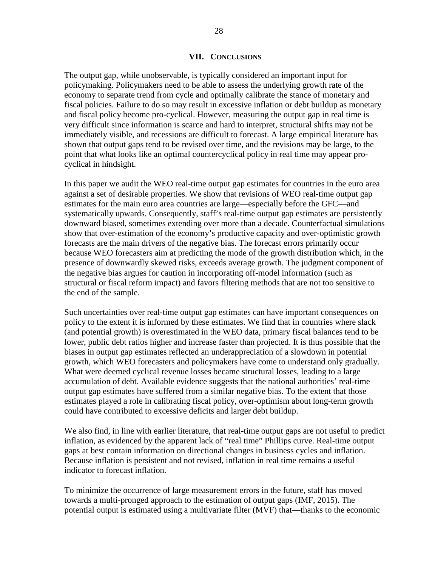#### **VII. CONCLUSIONS**

The output gap, while unobservable, is typically considered an important input for policymaking. Policymakers need to be able to assess the underlying growth rate of the economy to separate trend from cycle and optimally calibrate the stance of monetary and fiscal policies. Failure to do so may result in excessive inflation or debt buildup as monetary and fiscal policy become pro-cyclical. However, measuring the output gap in real time is very difficult since information is scarce and hard to interpret, structural shifts may not be immediately visible, and recessions are difficult to forecast. A large empirical literature has shown that output gaps tend to be revised over time, and the revisions may be large, to the point that what looks like an optimal countercyclical policy in real time may appear procyclical in hindsight.

In this paper we audit the WEO real-time output gap estimates for countries in the euro area against a set of desirable properties. We show that revisions of WEO real-time output gap estimates for the main euro area countries are large—especially before the GFC—and systematically upwards. Consequently, staff's real-time output gap estimates are persistently downward biased, sometimes extending over more than a decade. Counterfactual simulations show that over-estimation of the economy's productive capacity and over-optimistic growth forecasts are the main drivers of the negative bias. The forecast errors primarily occur because WEO forecasters aim at predicting the mode of the growth distribution which, in the presence of downwardly skewed risks, exceeds average growth. The judgment component of the negative bias argues for caution in incorporating off-model information (such as structural or fiscal reform impact) and favors filtering methods that are not too sensitive to the end of the sample.

Such uncertainties over real-time output gap estimates can have important consequences on policy to the extent it is informed by these estimates. We find that in countries where slack (and potential growth) is overestimated in the WEO data, primary fiscal balances tend to be lower, public debt ratios higher and increase faster than projected. It is thus possible that the biases in output gap estimates reflected an underappreciation of a slowdown in potential growth, which WEO forecasters and policymakers have come to understand only gradually. What were deemed cyclical revenue losses became structural losses, leading to a large accumulation of debt. Available evidence suggests that the national authorities' real-time output gap estimates have suffered from a similar negative bias. To the extent that those estimates played a role in calibrating fiscal policy, over-optimism about long-term growth could have contributed to excessive deficits and larger debt buildup.

We also find, in line with earlier literature, that real-time output gaps are not useful to predict inflation, as evidenced by the apparent lack of "real time" Phillips curve. Real-time output gaps at best contain information on directional changes in business cycles and inflation. Because inflation is persistent and not revised, inflation in real time remains a useful indicator to forecast inflation.

To minimize the occurrence of large measurement errors in the future, staff has moved towards a multi-pronged approach to the estimation of output gaps (IMF, 2015). The potential output is estimated using a multivariate filter (MVF) that—thanks to the economic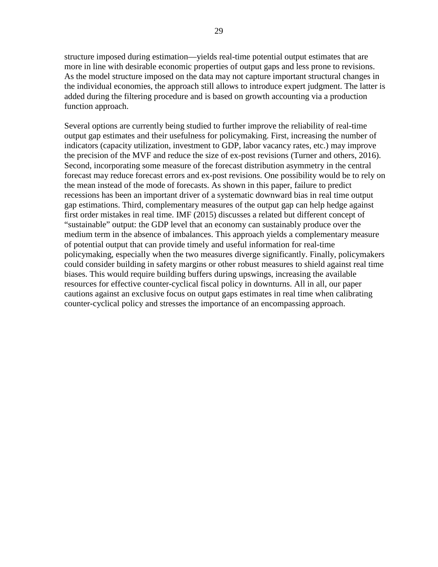structure imposed during estimation—yields real-time potential output estimates that are more in line with desirable economic properties of output gaps and less prone to revisions. As the model structure imposed on the data may not capture important structural changes in the individual economies, the approach still allows to introduce expert judgment. The latter is added during the filtering procedure and is based on growth accounting via a production function approach.

Several options are currently being studied to further improve the reliability of real-time output gap estimates and their usefulness for policymaking. First, increasing the number of indicators (capacity utilization, investment to GDP, labor vacancy rates, etc.) may improve the precision of the MVF and reduce the size of ex-post revisions (Turner and others, 2016). Second, incorporating some measure of the forecast distribution asymmetry in the central forecast may reduce forecast errors and ex-post revisions. One possibility would be to rely on the mean instead of the mode of forecasts. As shown in this paper, failure to predict recessions has been an important driver of a systematic downward bias in real time output gap estimations. Third, complementary measures of the output gap can help hedge against first order mistakes in real time. IMF (2015) discusses a related but different concept of "sustainable" output: the GDP level that an economy can sustainably produce over the medium term in the absence of imbalances. This approach yields a complementary measure of potential output that can provide timely and useful information for real-time policymaking, especially when the two measures diverge significantly. Finally, policymakers could consider building in safety margins or other robust measures to shield against real time biases. This would require building buffers during upswings, increasing the available resources for effective counter-cyclical fiscal policy in downturns. All in all, our paper cautions against an exclusive focus on output gaps estimates in real time when calibrating counter-cyclical policy and stresses the importance of an encompassing approach.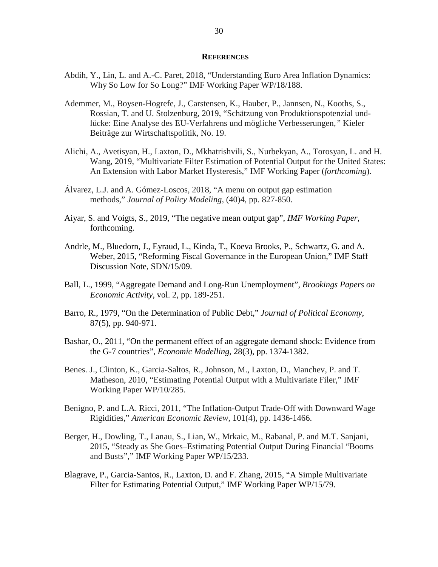#### **REFERENCES**

- Abdih, Y., Lin, L. and A.-C. Paret, 2018, "Understanding Euro Area Inflation Dynamics: Why So Low for So Long?" IMF Working Paper WP/18/188.
- Ademmer, M., Boysen-Hogrefe, J., Carstensen, K., Hauber, P., Jannsen, N., Kooths, S., Rossian, T. and U. Stolzenburg, 2019, "Schätzung von Produktionspotenzial undlücke: Eine Analyse des EU-Verfahrens und mögliche Verbesserungen*,"* Kieler Beiträge zur Wirtschaftspolitik, No. 19.
- Alichi, A., Avetisyan, H., Laxton, D., Mkhatrishvili, S., Nurbekyan, A., Torosyan, L. and H. Wang, 2019, "Multivariate Filter Estimation of Potential Output for the United States: An Extension with Labor Market Hysteresis," IMF Working Paper (*forthcoming*).
- Álvarez, L.J. and A. Gómez-Loscos, 2018, "A menu on output gap estimation methods," *Journal of Policy Modeling*, (40)4, pp. 827-850.
- Aiyar, S. and Voigts, S., 2019, "The negative mean output gap", *IMF Working Paper*, forthcoming.
- Andrle, M., Bluedorn, J., Eyraud, L., Kinda, T., Koeva Brooks, P., Schwartz, G. and A. Weber, 2015, "Reforming Fiscal Governance in the European Union," IMF Staff Discussion Note, SDN/15/09.
- Ball, L., 1999, "Aggregate Demand and Long-Run Unemployment", *Brookings Papers on Economic Activity*, vol. 2, pp. 189-251.
- Barro, R., 1979, "On the Determination of Public Debt," *Journal of Political Economy*, 87(5), pp. 940-971.
- Bashar, O., 2011, "On the permanent effect of an aggregate demand shock: Evidence from the G-7 countries", *Economic Modelling*, 28(3), pp. 1374-1382.
- Benes. J., Clinton, K., Garcia-Saltos, R., Johnson, M., Laxton, D., Manchev, P. and T. Matheson, 2010, "Estimating Potential Output with a Multivariate Filer," IMF Working Paper WP/10/285.
- Benigno, P. and L.A. Ricci, 2011, "The Inflation-Output Trade-Off with Downward Wage Rigidities," *American Economic Review*, 101(4), pp. 1436-1466.
- Berger, H., Dowling, T., Lanau, S., Lian, W., Mrkaic, M., Rabanal, P. and M.T. Sanjani, 2015, "Steady as She Goes–Estimating Potential Output During Financial "Booms and Busts"," IMF Working Paper WP/15/233.
- Blagrave, P., Garcia-Santos, R., Laxton, D. and F. Zhang, 2015, "A Simple Multivariate Filter for Estimating Potential Output," IMF Working Paper WP/15/79.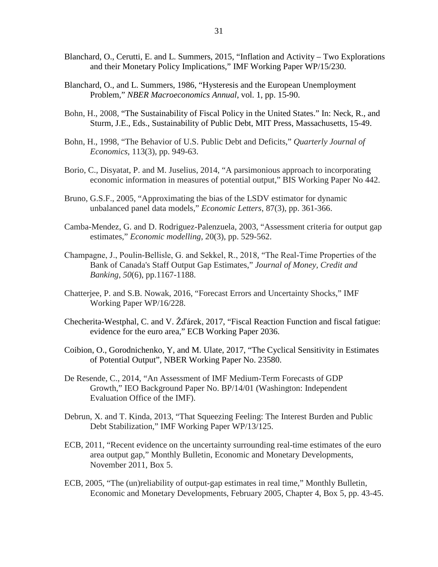- Blanchard, O., Cerutti, E. and L. Summers, 2015, "Inflation and Activity Two Explorations and their Monetary Policy Implications," IMF Working Paper WP/15/230.
- Blanchard, O., and L. Summers, 1986, "Hysteresis and the European Unemployment Problem," *NBER Macroeconomics Annual*, vol. 1, pp. 15-90.
- Bohn, H., 2008, "The Sustainability of Fiscal Policy in the United States." In: Neck, R., and Sturm, J.E., Eds., Sustainability of Public Debt, MIT Press, Massachusetts, 15-49.
- Bohn, H., 1998, "The Behavior of U.S. Public Debt and Deficits," *Quarterly Journal of Economics*, 113(3), pp. 949-63.
- Borio, C., Disyatat, P. and M. Juselius, 2014, "A parsimonious approach to incorporating economic information in measures of potential output," BIS Working Paper No 442.
- Bruno, G.S.F., 2005, "Approximating the bias of the LSDV estimator for dynamic unbalanced panel data models," *Economic Letters*, 87(3), pp. 361-366.
- Camba-Mendez, G. and D. Rodriguez-Palenzuela, 2003, "Assessment criteria for output gap estimates," *Economic modelling*, 20(3), pp. 529-562.
- Champagne, J., Poulin‐Bellisle, G. and Sekkel, R., 2018, "The Real‐Time Properties of the Bank of Canada's Staff Output Gap Estimates," *Journal of Money, Credit and Banking*, *50*(6), pp.1167-1188.
- Chatterjee, P. and S.B. Nowak, 2016, "Forecast Errors and Uncertainty Shocks," IMF Working Paper WP/16/228.
- Checherita-Westphal, C. and V. Žďárek, 2017, "Fiscal Reaction Function and fiscal fatigue: evidence for the euro area," ECB Working Paper 2036.
- Coibion, O., Gorodnichenko, Y, and M. Ulate, 2017, "The Cyclical Sensitivity in Estimates of Potential Output", NBER Working Paper No. 23580.
- De Resende, C., 2014, "An Assessment of IMF Medium-Term Forecasts of GDP Growth," IEO Background Paper No. BP/14/01 (Washington: Independent Evaluation Office of the IMF).
- Debrun, X. and T. Kinda, 2013, "That Squeezing Feeling: The Interest Burden and Public Debt Stabilization," IMF Working Paper WP/13/125.
- ECB, 2011, "Recent evidence on the uncertainty surrounding real-time estimates of the euro area output gap," Monthly Bulletin, Economic and Monetary Developments, November 2011, Box 5.
- ECB, 2005, "The (un)reliability of output-gap estimates in real time," Monthly Bulletin, Economic and Monetary Developments, February 2005, Chapter 4, Box 5, pp. 43-45.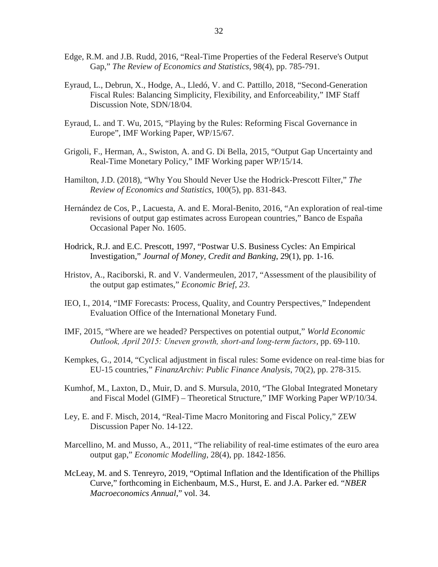- Edge, R.M. and J.B. Rudd, 2016, "Real-Time Properties of the Federal Reserve's Output Gap," *The Review of Economics and Statistics*, 98(4), pp. 785-791.
- Eyraud, L., Debrun, X., Hodge, A., Lledó, V. and C. Pattillo, 2018, "Second-Generation Fiscal Rules: Balancing Simplicity, Flexibility, and Enforceability," IMF Staff Discussion Note, SDN/18/04.
- Eyraud, L. and T. Wu, 2015, "Playing by the Rules: Reforming Fiscal Governance in Europe", IMF Working Paper, WP/15/67.
- Grigoli, F., Herman, A., Swiston, A. and G. Di Bella, 2015, "Output Gap Uncertainty and Real-Time Monetary Policy," IMF Working paper WP/15/14.
- Hamilton, J.D. (2018), "Why You Should Never Use the Hodrick-Prescott Filter," *The Review of Economics and Statistics*, 100(5), pp. 831-843.
- Hernández de Cos, P., Lacuesta, A. and E. Moral-Benito, 2016, "An exploration of real-time revisions of output gap estimates across European countries," Banco de España Occasional Paper No. 1605.
- Hodrick, R.J. and E.C. Prescott, 1997, "Postwar U.S. Business Cycles: An Empirical Investigation," *Journal of Money, Credit and Banking*, 29(1), pp. 1-16.
- Hristov, A., Raciborski, R. and V. Vandermeulen, 2017, "Assessment of the plausibility of the output gap estimates," *Economic Brief*, *23*.
- IEO, I., 2014, "IMF Forecasts: Process, Quality, and Country Perspectives," Independent Evaluation Office of the International Monetary Fund.
- IMF, 2015, "Where are we headed? Perspectives on potential output," *World Economic Outlook, April 2015: Uneven growth, short‐and long‐term factors*, pp. 69-110.
- Kempkes, G., 2014, "Cyclical adjustment in fiscal rules: Some evidence on real-time bias for EU-15 countries," *FinanzArchiv: Public Finance Analysis*, 70(2), pp. 278-315.
- Kumhof, M., Laxton, D., Muir, D. and S. Mursula, 2010, "The Global Integrated Monetary and Fiscal Model (GIMF) – Theoretical Structure," IMF Working Paper WP/10/34.
- Ley, E. and F. Misch, 2014, "Real-Time Macro Monitoring and Fiscal Policy," ZEW Discussion Paper No. 14-122.
- Marcellino, M. and Musso, A., 2011, "The reliability of real-time estimates of the euro area output gap," *Economic Modelling*, 28(4), pp. 1842-1856.
- McLeay, M. and S. Tenreyro, 2019, "Optimal Inflation and the Identification of the Phillips Curve," forthcoming in Eichenbaum, M.S., Hurst, E. and J.A. Parker ed. "*NBER Macroeconomics Annual*," vol. 34.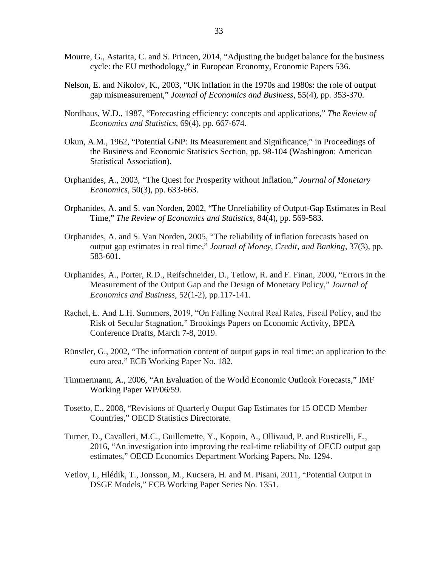- Mourre, G., Astarita, C. and S. Princen, 2014, "Adjusting the budget balance for the business cycle: the EU methodology," in European Economy, Economic Papers 536.
- Nelson, E. and Nikolov, K., 2003, "UK inflation in the 1970s and 1980s: the role of output gap mismeasurement," *Journal of Economics and Business*, 55(4), pp. 353-370.
- Nordhaus, W.D., 1987, "Forecasting efficiency: concepts and applications," *The Review of Economics and Statistics*, 69(4), pp. 667-674.
- Okun, A.M., 1962, "Potential GNP: Its Measurement and Significance," in Proceedings of the Business and Economic Statistics Section, pp. 98-104 (Washington: American Statistical Association).
- Orphanides, A., 2003, "The Quest for Prosperity without Inflation," *Journal of Monetary Economics*, 50(3), pp. 633-663.
- Orphanides, A. and S. van Norden, 2002, "The Unreliability of Output-Gap Estimates in Real Time," *The Review of Economics and Statistics*, 84(4), pp. 569-583.
- Orphanides, A. and S. Van Norden, 2005, "The reliability of inflation forecasts based on output gap estimates in real time," *Journal of Money, Credit, and Banking*, 37(3), pp. 583-601.
- Orphanides, A., Porter, R.D., Reifschneider, D., Tetlow, R. and F. Finan, 2000, "Errors in the Measurement of the Output Gap and the Design of Monetary Policy," *Journal of Economics and Business*, 52(1-2), pp.117-141.
- Rachel, Ł. And L.H. Summers, 2019, "On Falling Neutral Real Rates, Fiscal Policy, and the Risk of Secular Stagnation," Brookings Papers on Economic Activity, BPEA Conference Drafts, March 7-8, 2019.
- Rünstler, G., 2002, "The information content of output gaps in real time: an application to the euro area," ECB Working Paper No. 182.
- Timmermann, A., 2006, "An Evaluation of the World Economic Outlook Forecasts," IMF Working Paper WP/06/59.
- Tosetto, E., 2008, "Revisions of Quarterly Output Gap Estimates for 15 OECD Member Countries," OECD Statistics Directorate.
- Turner, D., Cavalleri, M.C., Guillemette, Y., Kopoin, A., Ollivaud, P. and Rusticelli, E., 2016, "An investigation into improving the real-time reliability of OECD output gap estimates," OECD Economics Department Working Papers, No. 1294.
- Vetlov, I., Hlédik, T., Jonsson, M., Kucsera, H. and M. Pisani, 2011, "Potential Output in DSGE Models," ECB Working Paper Series No. 1351.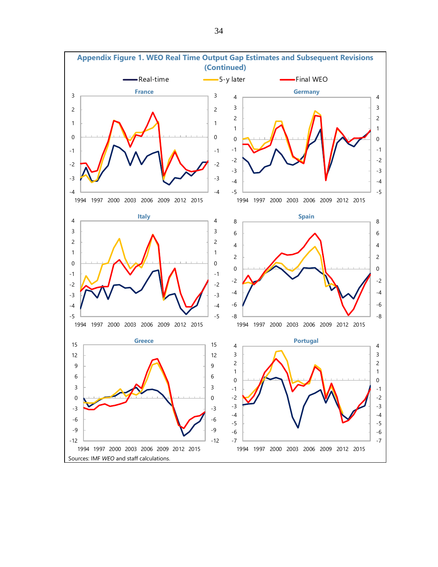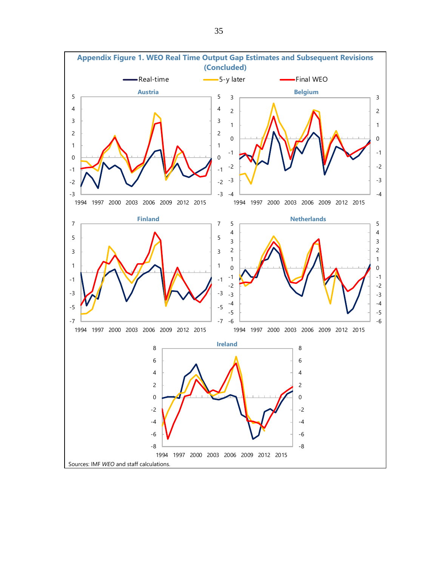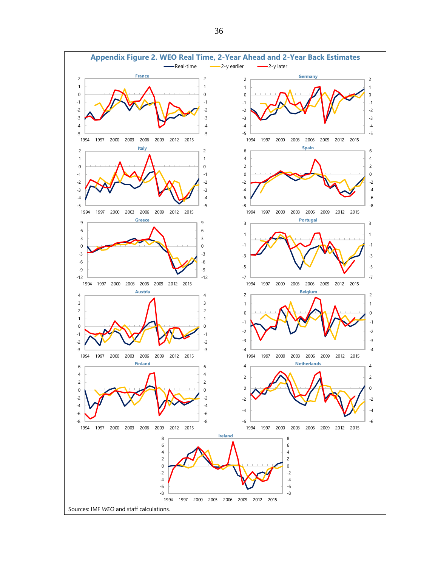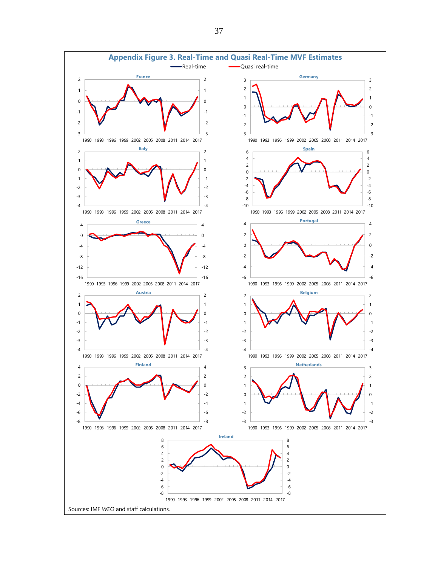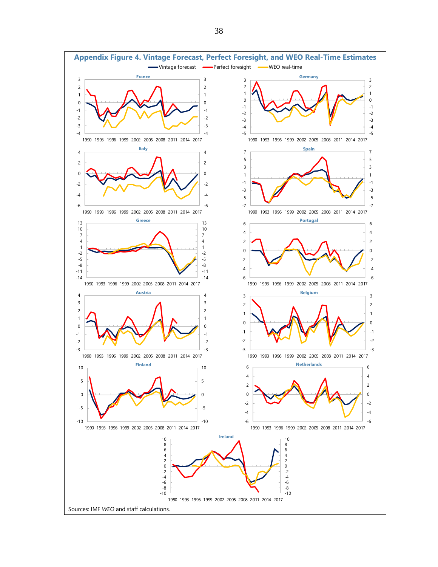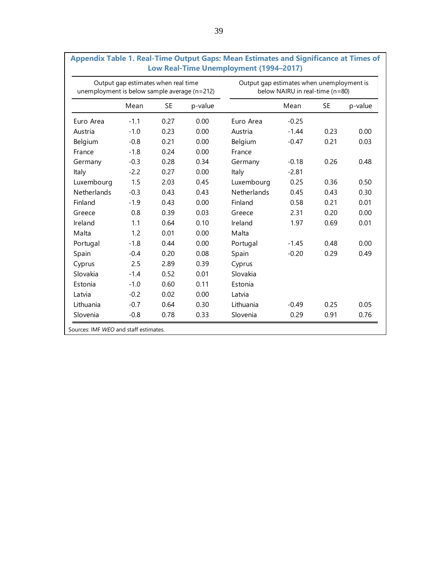| unemployment is below sample average (n=212) | Output gap estimates when real time |           |         | Output gap estimates when unemployment is | below NAIRU in real-time (n=80) |           |         |
|----------------------------------------------|-------------------------------------|-----------|---------|-------------------------------------------|---------------------------------|-----------|---------|
|                                              | Mean                                | <b>SE</b> | p-value |                                           | Mean                            | <b>SE</b> | p-value |
| Euro Area                                    | $-1.1$                              | 0.27      | 0.00    | Euro Area                                 | $-0.25$                         |           |         |
| Austria                                      | $-1.0$                              | 0.23      | 0.00    | Austria                                   | $-1.44$                         | 0.23      | 0.00    |
| Belgium                                      | $-0.8$                              | 0.21      | 0.00    | Belgium                                   | $-0.47$                         | 0.21      | 0.03    |
| France                                       | $-1.8$                              | 0.24      | 0.00    | France                                    |                                 |           |         |
| Germany                                      | $-0.3$                              | 0.28      | 0.34    | Germany                                   | $-0.18$                         | 0.26      | 0.48    |
| Italy                                        | $-2.2$                              | 0.27      | 0.00    | Italy                                     | $-2.81$                         |           |         |
| Luxembourg                                   | 1.5                                 | 2.03      | 0.45    | Luxembourg                                | 0.25                            | 0.36      | 0.50    |
| Netherlands                                  | $-0.3$                              | 0.43      | 0.43    | Netherlands                               | 0.45                            | 0.43      | 0.30    |
| Finland                                      | $-1.9$                              | 0.43      | 0.00    | Finland                                   | 0.58                            | 0.21      | 0.01    |
| Greece                                       | 0.8                                 | 0.39      | 0.03    | Greece                                    | 2.31                            | 0.20      | 0.00    |
| Ireland                                      | 1.1                                 | 0.64      | 0.10    | Ireland                                   | 1.97                            | 0.69      | 0.01    |
| Malta                                        | 1.2                                 | 0.01      | 0.00    | Malta                                     |                                 |           |         |
| Portugal                                     | $-1.8$                              | 0.44      | 0.00    | Portugal                                  | $-1.45$                         | 0.48      | 0.00    |
| Spain                                        | $-0.4$                              | 0.20      | 0.08    | Spain                                     | $-0.20$                         | 0.29      | 0.49    |
| Cyprus                                       | 2.5                                 | 2.89      | 0.39    | Cyprus                                    |                                 |           |         |
| Slovakia                                     | $-1.4$                              | 0.52      | 0.01    | Slovakia                                  |                                 |           |         |
| Estonia                                      | $-1.0$                              | 0.60      | 0.11    | Estonia                                   |                                 |           |         |
| Latvia                                       | $-0.2$                              | 0.02      | 0.00    | Latvia                                    |                                 |           |         |
| Lithuania                                    | $-0.7$                              | 0.64      | 0.30    | Lithuania                                 | $-0.49$                         | 0.25      | 0.05    |
| Slovenia                                     | $-0.8$                              | 0.78      | 0.33    | Slovenia                                  | 0.29                            | 0.91      | 0.76    |

|  |                                        |  | Appendix Table 1. Real-Time Output Gaps: Mean Estimates and Significance at Times of |  |
|--|----------------------------------------|--|--------------------------------------------------------------------------------------|--|
|  | Low Real-Time Unemployment (1994–2017) |  |                                                                                      |  |

Sources: IMF *WEO* and staff estimates.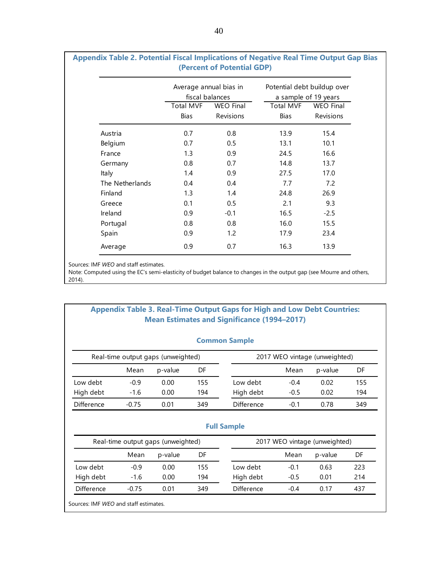|                 |                                 | Average annual bias in<br>fiscal balances |                                 | Potential debt buildup over<br>a sample of 19 years |  |  |
|-----------------|---------------------------------|-------------------------------------------|---------------------------------|-----------------------------------------------------|--|--|
|                 | <b>Total MVF</b><br><b>Bias</b> | <b>WEO Final</b><br>Revisions             | <b>Total MVF</b><br><b>Bias</b> | <b>WEO</b> Final<br>Revisions                       |  |  |
| Austria         | 0.7                             | 0.8                                       | 13.9                            | 15.4                                                |  |  |
| Belgium         | 0.7                             | 0.5                                       | 13.1                            | 10.1                                                |  |  |
| France          | 1.3                             | 0.9                                       | 24.5                            | 16.6                                                |  |  |
| Germany         | 0.8                             | 0.7                                       | 14.8                            | 13.7                                                |  |  |
| Italy           | 1.4                             | 0.9                                       | 27.5                            | 17.0                                                |  |  |
| The Netherlands | 0.4                             | 0.4                                       | 7.7                             | 7.2                                                 |  |  |
| Finland         | 1.3                             | 1.4                                       | 24.8                            | 26.9                                                |  |  |
| Greece          | 0.1                             | 0.5                                       | 2.1                             | 9.3                                                 |  |  |
| Ireland         | 0.9                             | $-0.1$                                    | 16.5                            | $-2.5$                                              |  |  |
| Portugal        | 0.8                             | 0.8                                       | 16.0                            | 15.5                                                |  |  |
| Spain           | 0.9                             | 1.2                                       | 17.9                            | 23.4                                                |  |  |
| Average         | 0.9                             | 0.7                                       | 16.3                            | 13.9                                                |  |  |
|                 |                                 |                                           |                                 |                                                     |  |  |

## **Appendix Table 2. Potential Fiscal Implications of Negative Real Time Output Gap Bias (Percent of Potential GDP)**

Sources: IMF *WEO* and staff estimates.

Note: Computed using the EC's semi-elasticity of budget balance to changes in the output gap (see Mourre and others, 2014).

## **Appendix Table 3. Real-Time Output Gaps for High and Low Debt Countries: Mean Estimates and Significance (1994–2017)**

| <b>Common Sample</b> |  |
|----------------------|--|
|----------------------|--|

| Real-time output gaps (unweighted) |         |         |     | 2017 WEO vintage (unweighted) |        |         |     |
|------------------------------------|---------|---------|-----|-------------------------------|--------|---------|-----|
|                                    | Mean    | p-value | DF  |                               | Mean   | p-value | DF  |
| Low debt                           | $-0.9$  | 0.00    | 155 | Low debt                      | $-0.4$ | 0.02    | 155 |
| High debt                          | $-1.6$  | 0.00    | 194 | High debt                     | $-0.5$ | 0.02    | 194 |
| <b>Difference</b>                  | $-0.75$ | 0.01    | 349 | Difference                    | $-0.1$ | 0.78    | 349 |

| ∞ull Sample |  |
|-------------|--|
|             |  |

| Real-time output gaps (unweighted) |         |         | 2017 WEO vintage (unweighted) |            |        |         |     |
|------------------------------------|---------|---------|-------------------------------|------------|--------|---------|-----|
|                                    | Mean    | p-value | DF                            |            | Mean   | p-value | DF  |
| Low debt                           | $-0.9$  | 0.00    | 155                           | Low debt   | $-0.1$ | 0.63    | 223 |
| High debt                          | $-1.6$  | 0.00    | 194                           | High debt  | $-0.5$ | 0.01    | 214 |
| <b>Difference</b>                  | $-0.75$ | 0.01    | 349                           | Difference | $-0.4$ | 0.17    | 437 |